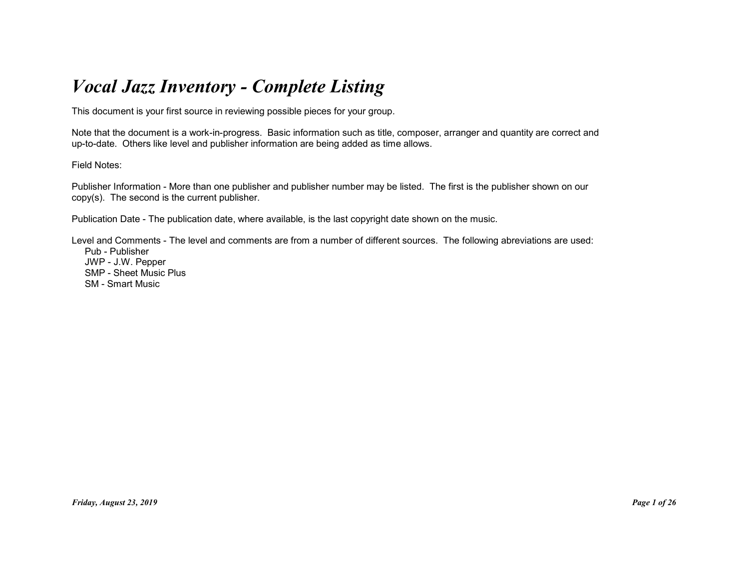## Vocal Jazz Inventory - Complete Listing

This document is your first source in reviewing possible pieces for your group.

Note that the document is a work-in-progress. Basic information such as title, composer, arranger and quantity are correct and up-to-date. Others like level and publisher information are being added as time allows.

Field Notes:

Publisher Information - More than one publisher and publisher number may be listed. The first is the publisher shown on our copy(s). The second is the current publisher.

Publication Date - The publication date, where available, is the last copyright date shown on the music.

Level and Comments - The level and comments are from a number of different sources. The following abreviations are used: Pub - Publisher JWP - J.W. Pepper SMP - Sheet Music Plus SM - Smart Music JWP - J.W. Pepper<br>SMP - Sheet Music Plus<br>SM - Smart Music<br>Priday, August 23, 2019<br>Prage 1 of 26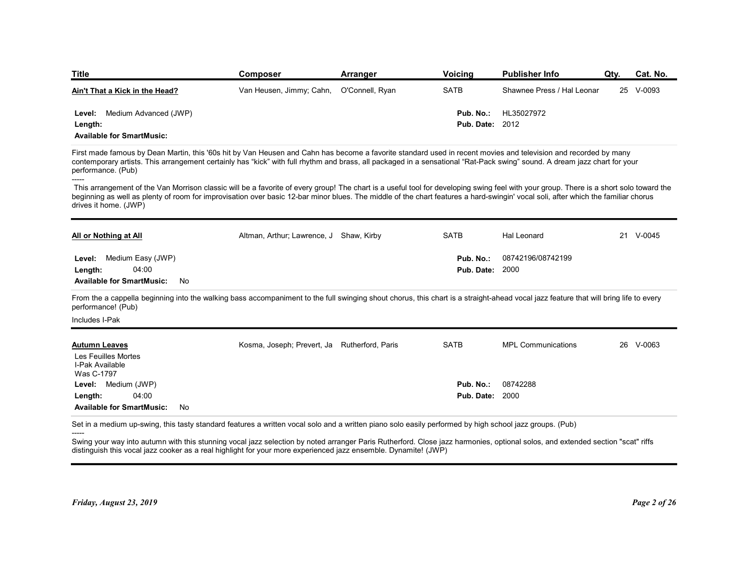| <b>Title</b>                   | Composer                                 | Arranger | Voicing | Publisher Info             | Qty. | Cat. No.  |
|--------------------------------|------------------------------------------|----------|---------|----------------------------|------|-----------|
| Ain't That a Kick in the Head? | Van Heusen, Jimmy; Cahn, O'Connell, Ryan |          | SATB    | Shawnee Press / Hal Leonar |      | 25 V-0093 |

|                                                                                                                                                                                                                                                                                                                                                                                                      | Composer                                     | Arranger        | <b>Voicing</b>                      | <b>Publisher Info</b>      | Qty. | Cat. No.  |
|------------------------------------------------------------------------------------------------------------------------------------------------------------------------------------------------------------------------------------------------------------------------------------------------------------------------------------------------------------------------------------------------------|----------------------------------------------|-----------------|-------------------------------------|----------------------------|------|-----------|
| Ain't That a Kick in the Head?                                                                                                                                                                                                                                                                                                                                                                       | Van Heusen, Jimmy; Cahn,                     | O'Connell, Ryan | SATB                                | Shawnee Press / Hal Leonar |      | 25 V-0093 |
| Medium Advanced (JWP)<br>Level:<br>Length:<br><b>Available for SmartMusic:</b>                                                                                                                                                                                                                                                                                                                       |                                              |                 | Pub. No.:<br><b>Pub. Date: 2012</b> | HL35027972                 |      |           |
| First made famous by Dean Martin, this '60s hit by Van Heusen and Cahn has become a favorite standard used in recent movies and television and recorded by many<br>contemporary artists. This arrangement certainly has "kick" with full rhythm and brass, all packaged in a sensational "Rat-Pack swing" sound. A dream jazz chart for your<br>performance. (Pub)                                   |                                              |                 |                                     |                            |      |           |
| This arrangement of the Van Morrison classic will be a favorite of every group! The chart is a useful tool for developing swing feel with your group. There is a short solo toward the<br>beginning as well as plenty of room for improvisation over basic 12-bar minor blues. The middle of the chart features a hard-swingin' vocal soli, after which the familiar chorus<br>drives it home. (JWP) |                                              |                 |                                     |                            |      |           |
| All or Nothing at All                                                                                                                                                                                                                                                                                                                                                                                | Altman, Arthur; Lawrence, J Shaw, Kirby      |                 | <b>SATB</b>                         | Hal Leonard                |      | 21 V-0045 |
| Medium Easy (JWP)<br>Level:<br>04:00<br>Length:<br><b>Available for SmartMusic:</b><br>No                                                                                                                                                                                                                                                                                                            |                                              |                 | Pub. No.:<br><b>Pub. Date: 2000</b> | 08742196/08742199          |      |           |
| From the a cappella beginning into the walking bass accompaniment to the full swinging shout chorus, this chart is a straight-ahead vocal jazz feature that will bring life to every<br>performance! (Pub)<br>Includes I-Pak                                                                                                                                                                         |                                              |                 |                                     |                            |      |           |
| <b>Autumn Leaves</b><br>Les Feuilles Mortes<br>I-Pak Available                                                                                                                                                                                                                                                                                                                                       | Kosma, Joseph; Prevert, Ja Rutherford, Paris |                 | <b>SATB</b>                         | <b>MPL Communications</b>  | 26   | $V-0063$  |
| Was C-1797<br>Level: Medium (JWP)<br>04:00<br>Length:<br><b>Available for SmartMusic:</b><br>No.                                                                                                                                                                                                                                                                                                     |                                              |                 | Pub. No.:<br><b>Pub. Date: 2000</b> | 08742288                   |      |           |
| Set in a medium up-swing, this tasty standard features a written vocal solo and a written piano solo easily performed by high school jazz groups. (Pub)                                                                                                                                                                                                                                              |                                              |                 |                                     |                            |      |           |
| Swing your way into autumn with this stunning vocal jazz selection by noted arranger Paris Rutherford. Close jazz harmonies, optional solos, and extended section "scat" riffs<br>distinguish this vocal jazz cooker as a real highlight for your more experienced jazz ensemble. Dynamite! (JWP)                                                                                                    |                                              |                 |                                     |                            |      |           |
|                                                                                                                                                                                                                                                                                                                                                                                                      |                                              |                 |                                     |                            |      |           |
|                                                                                                                                                                                                                                                                                                                                                                                                      |                                              |                 |                                     |                            |      |           |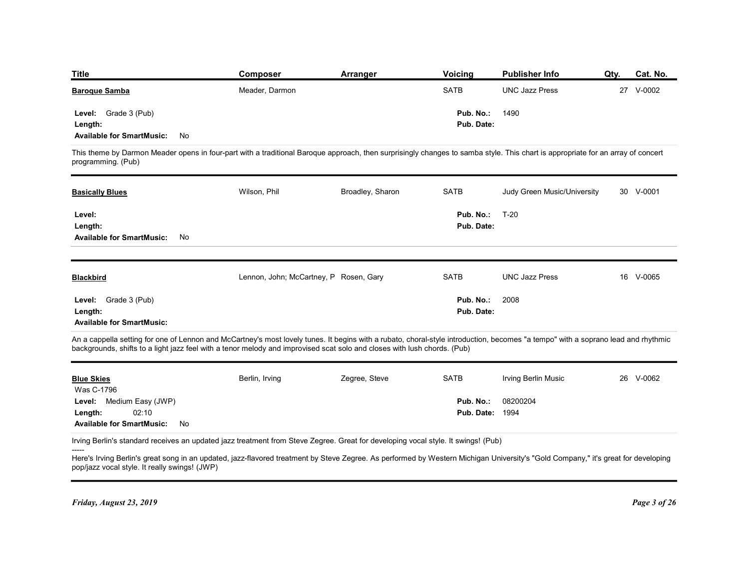| <b>Title</b>                                                                                                                                                                                          | <b>Composer</b> | Arranger         | <b>Voicing</b>          | <b>Publisher Info</b>       | Qty. | Cat. No.  |
|-------------------------------------------------------------------------------------------------------------------------------------------------------------------------------------------------------|-----------------|------------------|-------------------------|-----------------------------|------|-----------|
| <b>Baroque Samba</b>                                                                                                                                                                                  | Meader, Darmon  |                  | SATB                    | <b>UNC Jazz Press</b>       |      | 27 V-0002 |
| Grade 3 (Pub)<br>Level:<br>Length:                                                                                                                                                                    |                 |                  | Pub. No.:<br>Pub. Date: | 1490                        |      |           |
| Available for SmartMusic: No                                                                                                                                                                          |                 |                  |                         |                             |      |           |
| This theme by Darmon Meader opens in four-part with a traditional Baroque approach, then surprisingly changes to samba style. This chart is appropriate for an array of concert<br>programming. (Pub) |                 |                  |                         |                             |      |           |
| <b>Basically Blues</b>                                                                                                                                                                                | Wilson, Phil    | Broadley, Sharon | <b>SATB</b>             | Judy Green Music/University |      | 30 V-0001 |
| Level:                                                                                                                                                                                                |                 |                  | Pub. No.:               | $T-20$                      |      |           |
| Length:<br>Available for SmartMusic: No                                                                                                                                                               |                 |                  | Pub. Date:              |                             |      |           |

| <b>Title</b>                                                                                                                                                                                                                                                                                                  | <b>Composer</b>                        | <b>Arranger</b>  | Voicing                             | <b>Publisher Info</b>       | Qty. | <b>Cat. No.</b> |
|---------------------------------------------------------------------------------------------------------------------------------------------------------------------------------------------------------------------------------------------------------------------------------------------------------------|----------------------------------------|------------------|-------------------------------------|-----------------------------|------|-----------------|
| <b>Baroque Samba</b>                                                                                                                                                                                                                                                                                          | Meader, Darmon                         |                  | SATB                                | <b>UNC Jazz Press</b>       |      | 27 V-0002       |
| Level: Grade 3 (Pub)<br>Length:<br><b>Available for SmartMusic:</b><br>No                                                                                                                                                                                                                                     |                                        |                  | Pub. No.:<br>Pub. Date:             | 1490                        |      |                 |
| This theme by Darmon Meader opens in four-part with a traditional Baroque approach, then surprisingly changes to samba style. This chart is appropriate for an array of concert<br>programming. (Pub)                                                                                                         |                                        |                  |                                     |                             |      |                 |
| <b>Basically Blues</b>                                                                                                                                                                                                                                                                                        | Wilson, Phil                           | Broadley, Sharon | SATB                                | Judy Green Music/University |      | 30 V-0001       |
| Level:<br>Length:<br><b>Available for SmartMusic:</b><br>No                                                                                                                                                                                                                                                   |                                        |                  | Pub. No.:<br>Pub. Date:             | $T-20$                      |      |                 |
| <b>Blackbird</b>                                                                                                                                                                                                                                                                                              | Lennon, John; McCartney, P Rosen, Gary |                  | SATB                                | <b>UNC Jazz Press</b>       |      | 16 V-0065       |
| Grade 3 (Pub)<br>Level:<br>Length:<br><b>Available for SmartMusic:</b>                                                                                                                                                                                                                                        |                                        |                  | Pub. No.:<br>Pub. Date:             | 2008                        |      |                 |
| An a cappella setting for one of Lennon and McCartney's most lovely tunes. It begins with a rubato, choral-style introduction, becomes "a tempo" with a soprano lead and rhythmic<br>backgrounds, shifts to a light jazz feel with a tenor melody and improvised scat solo and closes with lush chords. (Pub) |                                        |                  |                                     |                             |      |                 |
| <b>Blue Skies</b><br>Was C-1796                                                                                                                                                                                                                                                                               | Berlin, Irving                         | Zegree, Steve    | SATB                                | Irving Berlin Music         |      | 26 V-0062       |
| Level: Medium Easy (JWP)<br>02:10<br>Length:<br><b>Available for SmartMusic:</b><br>No                                                                                                                                                                                                                        |                                        |                  | Pub. No.:<br><b>Pub. Date: 1994</b> | 08200204                    |      |                 |
| Irving Berlin's standard receives an updated jazz treatment from Steve Zegree. Great for developing vocal style. It swings! (Pub)                                                                                                                                                                             |                                        |                  |                                     |                             |      |                 |
| -----<br>Here's Irving Berlin's great song in an updated, jazz-flavored treatment by Steve Zegree. As performed by Western Michigan University's "Gold Company," it's great for developing<br>pop/jazz vocal style. It really swings! (JWP)                                                                   |                                        |                  |                                     |                             |      |                 |
| Friday, August 23, 2019                                                                                                                                                                                                                                                                                       |                                        |                  |                                     |                             |      | Page 3 of 26    |
|                                                                                                                                                                                                                                                                                                               |                                        |                  |                                     |                             |      |                 |

| <b>Blue Skies</b>                      | Berlin, Irving | Zegree, Steve | SATB       | Irving Berlin Music | 26 V-0062 |
|----------------------------------------|----------------|---------------|------------|---------------------|-----------|
| Was C-1796                             |                |               |            |                     |           |
| <b>Level:</b> Medium Easy (JWP)        |                |               | Pub. No.:  | 08200204            |           |
| Length:<br>02:10                       |                |               | Pub. Date: | 1994                |           |
| <b>Available for SmartMusic:</b><br>No |                |               |            |                     |           |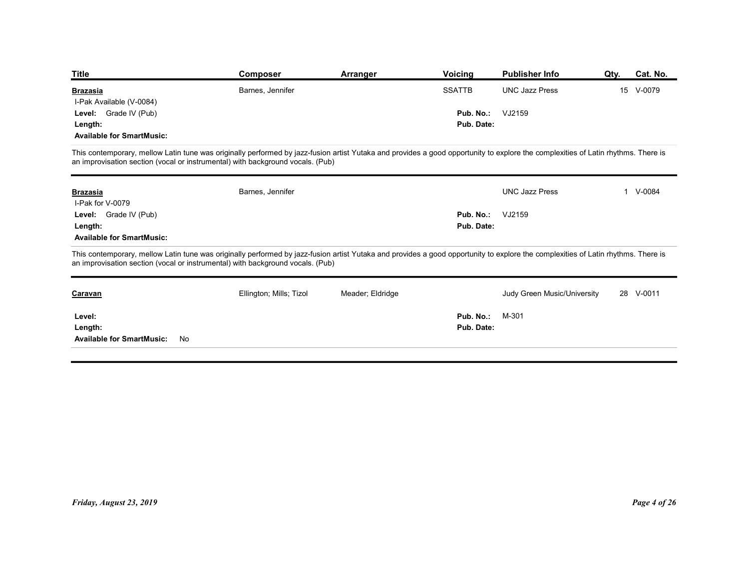| <b>Title</b><br><b>Brazasia</b>                              | <b>Composer</b><br>Barnes, Jennifer | <b>Arranger</b> | Voicing<br><b>SSATTB</b> | Publisher Info<br><b>UNC Jazz Press</b> | Qty. Cat. No.<br>15 V-0079 |  |
|--------------------------------------------------------------|-------------------------------------|-----------------|--------------------------|-----------------------------------------|----------------------------|--|
| I-Pak Available (V-0084)<br>Level: Grade IV (Pub)<br>Length: |                                     |                 | Pub. No.:<br>Pub. Date:  | VJ2159                                  |                            |  |

| <b>Title</b>                                                                                                                                                                                                                                                        | Composer                | Arranger         | <b>Voicing</b>          | <b>Publisher Info</b>       | Qty. | Cat. No.     |
|---------------------------------------------------------------------------------------------------------------------------------------------------------------------------------------------------------------------------------------------------------------------|-------------------------|------------------|-------------------------|-----------------------------|------|--------------|
| <b>Brazasia</b><br>I-Pak Available (V-0084)                                                                                                                                                                                                                         | Barnes, Jennifer        |                  | <b>SSATTB</b>           | <b>UNC Jazz Press</b>       |      | 15 V-0079    |
| Level: Grade IV (Pub)<br>Length:                                                                                                                                                                                                                                    |                         |                  | Pub. No.:<br>Pub. Date: | VJ2159                      |      |              |
| <b>Available for SmartMusic:</b>                                                                                                                                                                                                                                    |                         |                  |                         |                             |      |              |
| This contemporary, mellow Latin tune was originally performed by jazz-fusion artist Yutaka and provides a good opportunity to explore the complexities of Latin rhythms. There is<br>an improvisation section (vocal or instrumental) with background vocals. (Pub) |                         |                  |                         |                             |      |              |
| <b>Brazasia</b>                                                                                                                                                                                                                                                     | Barnes, Jennifer        |                  |                         | <b>UNC Jazz Press</b>       |      | 1 V-0084     |
| I-Pak for V-0079<br>Level: Grade IV (Pub)                                                                                                                                                                                                                           |                         |                  | Pub. No.:               | VJ2159                      |      |              |
| Length:                                                                                                                                                                                                                                                             |                         |                  | Pub. Date:              |                             |      |              |
| <b>Available for SmartMusic:</b>                                                                                                                                                                                                                                    |                         |                  |                         |                             |      |              |
| This contemporary, mellow Latin tune was originally performed by jazz-fusion artist Yutaka and provides a good opportunity to explore the complexities of Latin rhythms. There is<br>an improvisation section (vocal or instrumental) with background vocals. (Pub) |                         |                  |                         |                             |      |              |
| Caravan                                                                                                                                                                                                                                                             | Ellington; Mills; Tizol | Meader; Eldridge |                         | Judy Green Music/University |      | 28 V-0011    |
| Level:                                                                                                                                                                                                                                                              |                         |                  | Pub. No.:               | M-301                       |      |              |
| Length:                                                                                                                                                                                                                                                             |                         |                  | Pub. Date:              |                             |      |              |
|                                                                                                                                                                                                                                                                     |                         |                  |                         |                             |      |              |
| <b>Available for SmartMusic:</b><br>No                                                                                                                                                                                                                              |                         |                  |                         |                             |      |              |
|                                                                                                                                                                                                                                                                     |                         |                  |                         |                             |      |              |
|                                                                                                                                                                                                                                                                     |                         |                  |                         |                             |      |              |
|                                                                                                                                                                                                                                                                     |                         |                  |                         |                             |      |              |
|                                                                                                                                                                                                                                                                     |                         |                  |                         |                             |      |              |
|                                                                                                                                                                                                                                                                     |                         |                  |                         |                             |      |              |
|                                                                                                                                                                                                                                                                     |                         |                  |                         |                             |      |              |
|                                                                                                                                                                                                                                                                     |                         |                  |                         |                             |      |              |
|                                                                                                                                                                                                                                                                     |                         |                  |                         |                             |      |              |
|                                                                                                                                                                                                                                                                     |                         |                  |                         |                             |      |              |
| Friday, August 23, 2019                                                                                                                                                                                                                                             |                         |                  |                         |                             |      | Page 4 of 26 |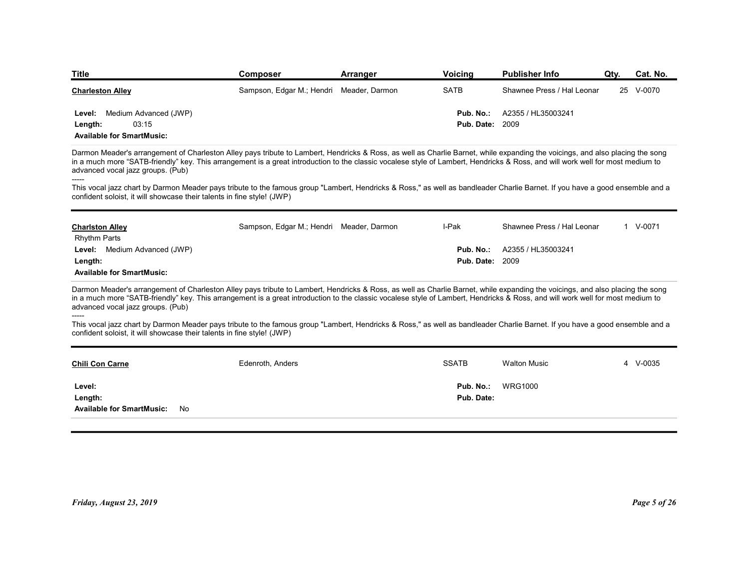| <b>Title</b>                                                                                                                                                                                                                                                                                                                                                                                                                             | <b>Composer</b>                          | Arranger | <b>Voicing</b>         | <b>Publisher Info</b>      | Qtv. | Cat. No.  |
|------------------------------------------------------------------------------------------------------------------------------------------------------------------------------------------------------------------------------------------------------------------------------------------------------------------------------------------------------------------------------------------------------------------------------------------|------------------------------------------|----------|------------------------|----------------------------|------|-----------|
| <b>Charleston Alley</b>                                                                                                                                                                                                                                                                                                                                                                                                                  | Sampson, Edgar M.; Hendri Meader, Darmon |          | <b>SATB</b>            | Shawnee Press / Hal Leonar |      | 25 V-0070 |
|                                                                                                                                                                                                                                                                                                                                                                                                                                          |                                          |          | Pub. No.:              | A2355 / HL35003241         |      |           |
| Medium Advanced (JWP)<br>Level:                                                                                                                                                                                                                                                                                                                                                                                                          |                                          |          |                        |                            |      |           |
| 03:15<br>Length:                                                                                                                                                                                                                                                                                                                                                                                                                         |                                          |          | <b>Pub. Date: 2009</b> |                            |      |           |
| <b>Available for SmartMusic:</b><br>Darmon Meader's arrangement of Charleston Alley pays tribute to Lambert, Hendricks & Ross, as well as Charlie Barnet, while expanding the voicings, and also placing the song<br>in a much more "SATB-friendly" key. This arrangement is a great introduction to the classic vocalese style of Lambert, Hendricks & Ross, and will work well for most medium to<br>advanced vocal jazz groups. (Pub) |                                          |          |                        |                            |      |           |
| This vocal jazz chart by Darmon Meader pays tribute to the famous group "Lambert, Hendricks & Ross," as well as bandleader Charlie Barnet. If you have a good ensemble and a<br>confident soloist, it will showcase their talents in fine style! (JWP)                                                                                                                                                                                   |                                          |          |                        |                            |      |           |
| <b>Charlston Alley</b>                                                                                                                                                                                                                                                                                                                                                                                                                   | Sampson, Edgar M.; Hendri Meader, Darmon |          | I-Pak                  | Shawnee Press / Hal Leonar |      | 1 V-0071  |
| <b>Rhythm Parts</b><br>Level: Medium Advanced (JWP)                                                                                                                                                                                                                                                                                                                                                                                      |                                          |          | Pub. No.:              | A2355 / HL35003241         |      |           |
| Length:<br><b>Available for SmartMusic:</b>                                                                                                                                                                                                                                                                                                                                                                                              |                                          |          | <b>Pub. Date: 2009</b> |                            |      |           |

| <b>Charlston Alley</b>              | Sampson, Edgar M.; Hendri Meader, Darmon | I-Pak                  | Shawnee Press / Hal Leonar | $V-0071$ |
|-------------------------------------|------------------------------------------|------------------------|----------------------------|----------|
| <b>Rhythm Parts</b>                 |                                          |                        |                            |          |
| <b>Level:</b> Medium Advanced (JWP) |                                          | Pub. No.:              | A2355 / HL35003241         |          |
| Length:                             |                                          | <b>Pub. Date: 2009</b> |                            |          |
| <b>Available for SmartMusic:</b>    |                                          |                        |                            |          |

| Length:<br>03:15                                                                                                                                |                                                                                                                                                                                                                                                                                                                                                                                                                                                                                                                                                 |                        |                            |          |
|-------------------------------------------------------------------------------------------------------------------------------------------------|-------------------------------------------------------------------------------------------------------------------------------------------------------------------------------------------------------------------------------------------------------------------------------------------------------------------------------------------------------------------------------------------------------------------------------------------------------------------------------------------------------------------------------------------------|------------------------|----------------------------|----------|
|                                                                                                                                                 |                                                                                                                                                                                                                                                                                                                                                                                                                                                                                                                                                 | <b>Pub. Date: 2009</b> |                            |          |
|                                                                                                                                                 |                                                                                                                                                                                                                                                                                                                                                                                                                                                                                                                                                 |                        |                            |          |
| <b>Available for SmartMusic:</b><br>advanced vocal jazz groups. (Pub)<br>confident soloist, it will showcase their talents in fine style! (JWP) | Darmon Meader's arrangement of Charleston Alley pays tribute to Lambert, Hendricks & Ross, as well as Charlie Barnet, while expanding the voicings, and also placing the song<br>in a much more "SATB-friendly" key. This arrangement is a great introduction to the classic vocalese style of Lambert, Hendricks & Ross, and will work well for most medium to<br>This vocal jazz chart by Darmon Meader pays tribute to the famous group "Lambert, Hendricks & Ross," as well as bandleader Charlie Barnet. If you have a good ensemble and a |                        |                            |          |
| <b>Charlston Alley</b>                                                                                                                          | Sampson, Edgar M.; Hendri Meader, Darmon                                                                                                                                                                                                                                                                                                                                                                                                                                                                                                        | I-Pak                  | Shawnee Press / Hal Leonar | 1 V-0071 |
| <b>Rhythm Parts</b>                                                                                                                             |                                                                                                                                                                                                                                                                                                                                                                                                                                                                                                                                                 |                        |                            |          |
| Level: Medium Advanced (JWP)                                                                                                                    |                                                                                                                                                                                                                                                                                                                                                                                                                                                                                                                                                 | Pub. No.:              | A2355 / HL35003241         |          |
| Length:                                                                                                                                         |                                                                                                                                                                                                                                                                                                                                                                                                                                                                                                                                                 | <b>Pub. Date: 2009</b> |                            |          |
| <b>Available for SmartMusic:</b>                                                                                                                |                                                                                                                                                                                                                                                                                                                                                                                                                                                                                                                                                 |                        |                            |          |
| advanced vocal jazz groups. (Pub)<br>confident soloist, it will showcase their talents in fine style! (JWP)                                     | This vocal jazz chart by Darmon Meader pays tribute to the famous group "Lambert, Hendricks & Ross," as well as bandleader Charlie Barnet. If you have a good ensemble and a                                                                                                                                                                                                                                                                                                                                                                    |                        |                            |          |
| <b>Chili Con Carne</b>                                                                                                                          | Edenroth, Anders                                                                                                                                                                                                                                                                                                                                                                                                                                                                                                                                | <b>SSATB</b>           | <b>Walton Music</b>        | 4 V-0035 |
| Level:                                                                                                                                          |                                                                                                                                                                                                                                                                                                                                                                                                                                                                                                                                                 | Pub. No.:              | <b>WRG1000</b>             |          |
| Length:                                                                                                                                         |                                                                                                                                                                                                                                                                                                                                                                                                                                                                                                                                                 | Pub. Date:             |                            |          |
|                                                                                                                                                 |                                                                                                                                                                                                                                                                                                                                                                                                                                                                                                                                                 |                        |                            |          |
|                                                                                                                                                 |                                                                                                                                                                                                                                                                                                                                                                                                                                                                                                                                                 |                        |                            |          |
| <b>Available for SmartMusic:</b> No                                                                                                             |                                                                                                                                                                                                                                                                                                                                                                                                                                                                                                                                                 |                        |                            |          |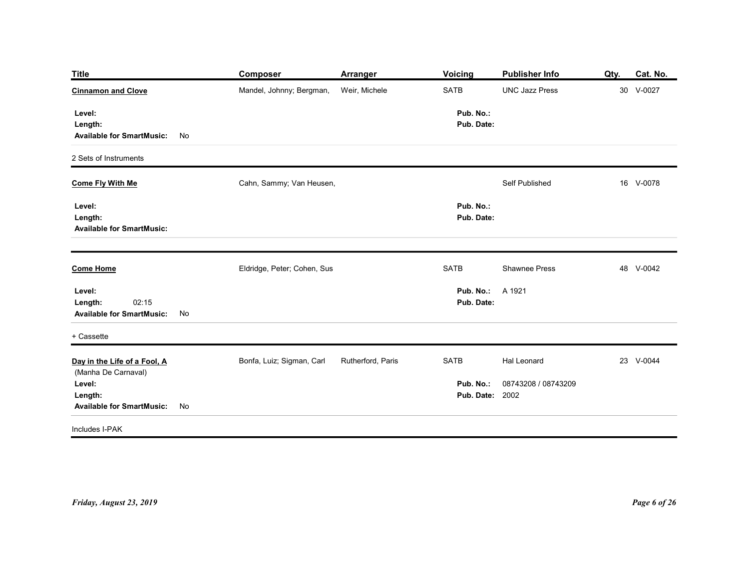| <b>Title</b>                                                                                             |    | Composer                    | <b>Arranger</b>   | <b>Voicing</b>                              | <b>Publisher Info</b>              | Qty. | Cat. No.     |
|----------------------------------------------------------------------------------------------------------|----|-----------------------------|-------------------|---------------------------------------------|------------------------------------|------|--------------|
| <b>Cinnamon and Clove</b>                                                                                |    | Mandel, Johnny; Bergman,    | Weir, Michele     | SATB                                        | <b>UNC Jazz Press</b>              |      | 30 V-0027    |
| Level:<br>Length:<br><b>Available for SmartMusic:</b>                                                    | No |                             |                   | Pub. No.:<br>Pub. Date:                     |                                    |      |              |
| 2 Sets of Instruments                                                                                    |    |                             |                   |                                             |                                    |      |              |
| <b>Come Fly With Me</b>                                                                                  |    | Cahn, Sammy; Van Heusen,    |                   |                                             | Self Published                     |      | 16 V-0078    |
| Level:<br>Length:<br><b>Available for SmartMusic:</b>                                                    |    |                             |                   | Pub. No.:<br>Pub. Date:                     |                                    |      |              |
| <b>Come Home</b>                                                                                         |    | Eldridge, Peter; Cohen, Sus |                   | SATB                                        | Shawnee Press                      |      | 48 V-0042    |
| Level:<br>02:15<br>Length:<br><b>Available for SmartMusic:</b>                                           | No |                             |                   | <b>Pub. No.: A 1921</b><br>Pub. Date:       |                                    |      |              |
| + Cassette                                                                                               |    |                             |                   |                                             |                                    |      |              |
| Day in the Life of a Fool, A<br>(Manha De Carnaval)<br>Level:<br>Length:<br>Available for SmartMusic: No |    | Bonfa, Luiz; Sigman, Carl   | Rutherford, Paris | SATB<br>Pub. No.:<br><b>Pub. Date: 2002</b> | Hal Leonard<br>08743208 / 08743209 |      | 23 V-0044    |
| Includes I-PAK                                                                                           |    |                             |                   |                                             |                                    |      |              |
|                                                                                                          |    |                             |                   |                                             |                                    |      |              |
|                                                                                                          |    |                             |                   |                                             |                                    |      |              |
| Friday, August 23, 2019                                                                                  |    |                             |                   |                                             |                                    |      | Page 6 of 26 |
|                                                                                                          |    |                             |                   |                                             |                                    |      |              |
|                                                                                                          |    |                             |                   |                                             |                                    |      |              |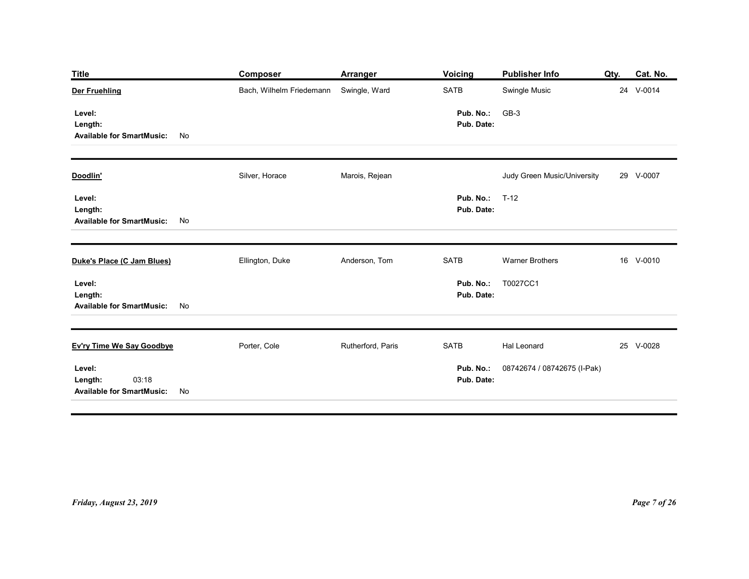| <b>Title</b>                                                         | Composer                 | <b>Arranger</b>   | Voicing                          | <b>Publisher Info</b>       | Qty. | Cat. No.  |
|----------------------------------------------------------------------|--------------------------|-------------------|----------------------------------|-----------------------------|------|-----------|
| <b>Der Fruehling</b>                                                 | Bach, Wilhelm Friedemann | Swingle, Ward     | SATB                             | Swingle Music               |      | 24 V-0014 |
| Level:<br>Length:<br><b>Available for SmartMusic:</b><br>No          |                          |                   | Pub. No.:<br>Pub. Date:          | $GB-3$                      |      |           |
| Doodlin'                                                             | Silver, Horace           | Marois, Rejean    |                                  | Judy Green Music/University |      | 29 V-0007 |
| Level:<br>Length:<br><b>Available for SmartMusic:</b><br>No          |                          |                   | Pub. No.:<br>Pub. Date:          | $T-12$                      |      |           |
| Duke's Place (C Jam Blues)                                           | Ellington, Duke          | Anderson, Tom     | SATB                             | Warner Brothers             |      | 16 V-0010 |
| Level:<br>Length:<br>Available for SmartMusic: No                    |                          |                   | Pub. No.: T0027CC1<br>Pub. Date: |                             |      |           |
| <b>Ev'ry Time We Say Goodbye</b>                                     | Porter, Cole             | Rutherford, Paris | SATB                             | Hal Leonard                 |      | 25 V-0028 |
| Level:<br>03:18<br>Length:<br><b>Available for SmartMusic:</b><br>No |                          |                   | Pub. No.:<br>Pub. Date:          | 08742674 / 08742675 (I-Pak) |      |           |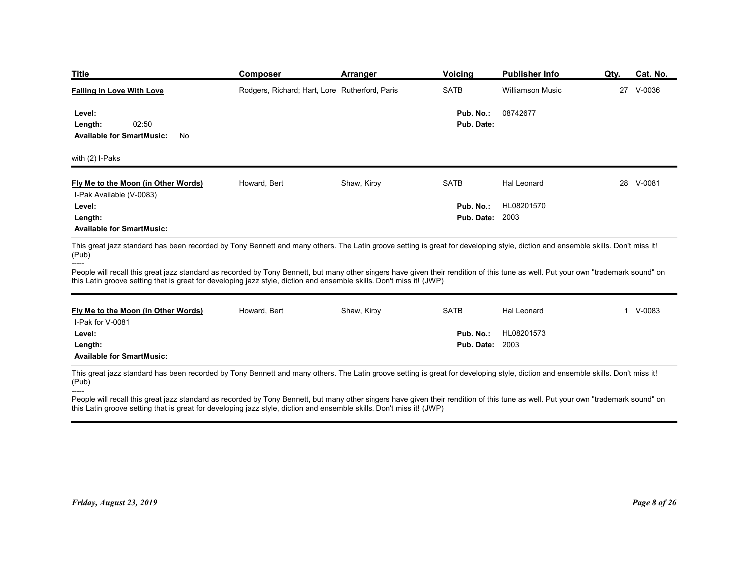| <b>Title</b>                                                                                                                                                                                                                                                                                                        | Composer                                       | <b>Arranger</b> | Voicing                | <b>Publisher Info</b>   | Qty.      | Cat. No. |
|---------------------------------------------------------------------------------------------------------------------------------------------------------------------------------------------------------------------------------------------------------------------------------------------------------------------|------------------------------------------------|-----------------|------------------------|-------------------------|-----------|----------|
| <b>Falling in Love With Love</b>                                                                                                                                                                                                                                                                                    | Rodgers, Richard; Hart, Lore Rutherford, Paris |                 | SATB                   | <b>Williamson Music</b> | 27 V-0036 |          |
| Level:                                                                                                                                                                                                                                                                                                              |                                                |                 | Pub. No.:              | 08742677                |           |          |
| 02:50<br>Length:<br>Available for SmartMusic: No                                                                                                                                                                                                                                                                    |                                                |                 | Pub. Date:             |                         |           |          |
| with (2) I-Paks                                                                                                                                                                                                                                                                                                     |                                                |                 |                        |                         |           |          |
|                                                                                                                                                                                                                                                                                                                     |                                                | Shaw, Kirby     | <b>SATB</b>            | Hal Leonard             | 28 V-0081 |          |
| Fly Me to the Moon (in Other Words)<br>I-Pak Available (V-0083)                                                                                                                                                                                                                                                     | Howard, Bert                                   |                 |                        |                         |           |          |
| Level:                                                                                                                                                                                                                                                                                                              |                                                |                 | Pub. No.:              | HL08201570              |           |          |
| Length:<br><b>Available for SmartMusic:</b>                                                                                                                                                                                                                                                                         |                                                |                 | <b>Pub. Date: 2003</b> |                         |           |          |
| This great jazz standard has been recorded by Tony Bennett and many others. The Latin groove setting is great for developing style, diction and ensemble skills. Don't miss it!<br>(Pub)                                                                                                                            |                                                |                 |                        |                         |           |          |
| -----<br>People will recall this great jazz standard as recorded by Tony Bennett, but many other singers have given their rendition of this tune as well. Put your own "trademark sound" on<br>this Latin groove setting that is great for developing jazz style, diction and ensemble skills. Don't miss it! (JWP) |                                                |                 |                        |                         |           |          |
| Fly Me to the Moon (in Other Words)<br>I-Pak for V-0081                                                                                                                                                                                                                                                             | Howard, Bert                                   | Shaw, Kirby     | SATB                   | Hal Leonard             | 1 V-0083  |          |

| People will recall this great jazz standard as recorded by Tony Bennett, but many other singers have given their rendition of this tune as well. Put your own "trademark sound" on<br>this Latin groove setting that is great for developing jazz style, diction and ensemble skills. Don't miss it! (JWP) |              |             |                        |             |              |
|------------------------------------------------------------------------------------------------------------------------------------------------------------------------------------------------------------------------------------------------------------------------------------------------------------|--------------|-------------|------------------------|-------------|--------------|
| Fly Me to the Moon (in Other Words)<br>I-Pak for V-0081                                                                                                                                                                                                                                                    | Howard, Bert | Shaw, Kirby | <b>SATB</b>            | Hal Leonard | 1 V-0083     |
| Level:                                                                                                                                                                                                                                                                                                     |              |             | Pub. No.:              | HL08201573  |              |
| Length:<br><b>Available for SmartMusic:</b>                                                                                                                                                                                                                                                                |              |             | <b>Pub. Date: 2003</b> |             |              |
| This great jazz standard has been recorded by Tony Bennett and many others. The Latin groove setting is great for developing style, diction and ensemble skills. Don't miss it!<br>(Pub)                                                                                                                   |              |             |                        |             |              |
| People will recall this great jazz standard as recorded by Tony Bennett, but many other singers have given their rendition of this tune as well. Put your own "trademark sound" on<br>this Latin groove setting that is great for developing jazz style, diction and ensemble skills. Don't miss it! (JWP) |              |             |                        |             |              |
| Friday, August 23, 2019                                                                                                                                                                                                                                                                                    |              |             |                        |             | Page 8 of 26 |
|                                                                                                                                                                                                                                                                                                            |              |             |                        |             |              |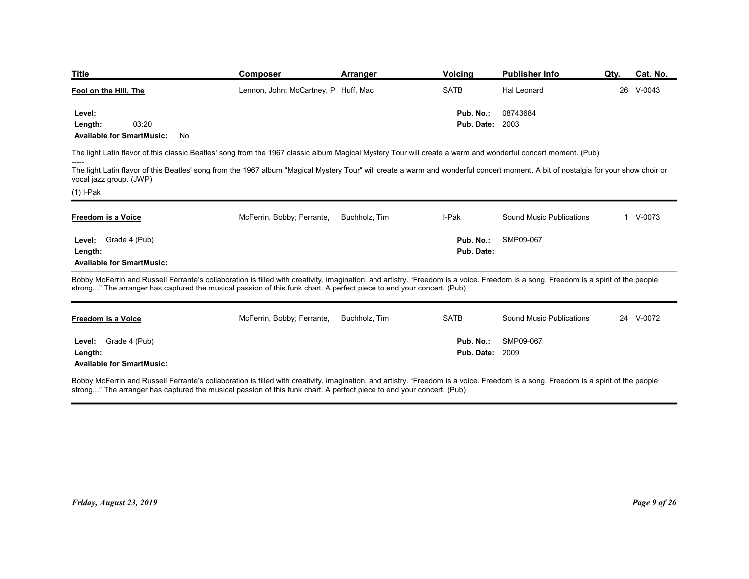| Composer<br><b>Voicing</b><br><b>Publisher Info</b><br>Cat. No.<br><b>Arranger</b><br>Qty.<br>Fool on the Hill, The<br>Lennon, John; McCartney, P Huff, Mac<br><b>SATB</b><br>26 V-0043<br>Hal Leonard<br>Pub. No.:<br>08743684<br>Level:<br>03:20<br><b>Pub. Date: 2003</b><br>Length:<br><b>Available for SmartMusic:</b><br>No<br>vocal jazz group. (JWP)<br>McFerrin, Bobby; Ferrante,<br>I-Pak<br>Sound Music Publications<br>1 V-0073<br>Freedom is a Voice<br>Buchholz, Tim<br>Pub. No.: SMP09-067<br>Level: Grade 4 (Pub)<br>Pub. Date:<br>Length:<br><b>Available for SmartMusic:</b><br>Bobby McFerrin and Russell Ferrante's collaboration is filled with creativity, imagination, and artistry. "Freedom is a voice. Freedom is a song. Freedom is a spirit of the people<br>McFerrin, Bobby; Ferrante, Buchholz, Tim<br>SATB<br>Sound Music Publications<br>24 V-0072<br>Freedom is a Voice<br>SMP09-067<br>Level: Grade 4 (Pub)<br>Pub. No.:<br><b>Pub. Date: 2009</b><br>Length:<br><b>Available for SmartMusic:</b><br>Bobby McFerrin and Russell Ferrante's collaboration is filled with creativity, imagination, and artistry. "Freedom is a voice. Freedom is a song. Freedom is a spirit of the people<br>strong" The arranger has captured the musical passion of this funk chart. A perfect piece to end your concert. (Pub)<br>Friday, August 23, 2019 |  |  |  |              |
|-------------------------------------------------------------------------------------------------------------------------------------------------------------------------------------------------------------------------------------------------------------------------------------------------------------------------------------------------------------------------------------------------------------------------------------------------------------------------------------------------------------------------------------------------------------------------------------------------------------------------------------------------------------------------------------------------------------------------------------------------------------------------------------------------------------------------------------------------------------------------------------------------------------------------------------------------------------------------------------------------------------------------------------------------------------------------------------------------------------------------------------------------------------------------------------------------------------------------------------------------------------------------------------------------------------------------------------------------------------------------------|--|--|--|--------------|
|                                                                                                                                                                                                                                                                                                                                                                                                                                                                                                                                                                                                                                                                                                                                                                                                                                                                                                                                                                                                                                                                                                                                                                                                                                                                                                                                                                               |  |  |  |              |
|                                                                                                                                                                                                                                                                                                                                                                                                                                                                                                                                                                                                                                                                                                                                                                                                                                                                                                                                                                                                                                                                                                                                                                                                                                                                                                                                                                               |  |  |  |              |
| Title<br>The light Latin flavor of this classic Beatles' song from the 1967 classic album Magical Mystery Tour will create a warm and wonderful concert moment. (Pub)<br>The light Latin flavor of this Beatles' song from the 1967 album "Magical Mystery Tour" will create a warm and wonderful concert moment. A bit of nostalgia for your show choir or<br>(1) I-Pak<br>strong" The arranger has captured the musical passion of this funk chart. A perfect piece to end your concert. (Pub)                                                                                                                                                                                                                                                                                                                                                                                                                                                                                                                                                                                                                                                                                                                                                                                                                                                                              |  |  |  |              |
|                                                                                                                                                                                                                                                                                                                                                                                                                                                                                                                                                                                                                                                                                                                                                                                                                                                                                                                                                                                                                                                                                                                                                                                                                                                                                                                                                                               |  |  |  |              |
|                                                                                                                                                                                                                                                                                                                                                                                                                                                                                                                                                                                                                                                                                                                                                                                                                                                                                                                                                                                                                                                                                                                                                                                                                                                                                                                                                                               |  |  |  |              |
|                                                                                                                                                                                                                                                                                                                                                                                                                                                                                                                                                                                                                                                                                                                                                                                                                                                                                                                                                                                                                                                                                                                                                                                                                                                                                                                                                                               |  |  |  |              |
|                                                                                                                                                                                                                                                                                                                                                                                                                                                                                                                                                                                                                                                                                                                                                                                                                                                                                                                                                                                                                                                                                                                                                                                                                                                                                                                                                                               |  |  |  |              |
|                                                                                                                                                                                                                                                                                                                                                                                                                                                                                                                                                                                                                                                                                                                                                                                                                                                                                                                                                                                                                                                                                                                                                                                                                                                                                                                                                                               |  |  |  |              |
|                                                                                                                                                                                                                                                                                                                                                                                                                                                                                                                                                                                                                                                                                                                                                                                                                                                                                                                                                                                                                                                                                                                                                                                                                                                                                                                                                                               |  |  |  |              |
|                                                                                                                                                                                                                                                                                                                                                                                                                                                                                                                                                                                                                                                                                                                                                                                                                                                                                                                                                                                                                                                                                                                                                                                                                                                                                                                                                                               |  |  |  |              |
|                                                                                                                                                                                                                                                                                                                                                                                                                                                                                                                                                                                                                                                                                                                                                                                                                                                                                                                                                                                                                                                                                                                                                                                                                                                                                                                                                                               |  |  |  |              |
|                                                                                                                                                                                                                                                                                                                                                                                                                                                                                                                                                                                                                                                                                                                                                                                                                                                                                                                                                                                                                                                                                                                                                                                                                                                                                                                                                                               |  |  |  |              |
|                                                                                                                                                                                                                                                                                                                                                                                                                                                                                                                                                                                                                                                                                                                                                                                                                                                                                                                                                                                                                                                                                                                                                                                                                                                                                                                                                                               |  |  |  |              |
|                                                                                                                                                                                                                                                                                                                                                                                                                                                                                                                                                                                                                                                                                                                                                                                                                                                                                                                                                                                                                                                                                                                                                                                                                                                                                                                                                                               |  |  |  |              |
|                                                                                                                                                                                                                                                                                                                                                                                                                                                                                                                                                                                                                                                                                                                                                                                                                                                                                                                                                                                                                                                                                                                                                                                                                                                                                                                                                                               |  |  |  |              |
|                                                                                                                                                                                                                                                                                                                                                                                                                                                                                                                                                                                                                                                                                                                                                                                                                                                                                                                                                                                                                                                                                                                                                                                                                                                                                                                                                                               |  |  |  |              |
|                                                                                                                                                                                                                                                                                                                                                                                                                                                                                                                                                                                                                                                                                                                                                                                                                                                                                                                                                                                                                                                                                                                                                                                                                                                                                                                                                                               |  |  |  |              |
|                                                                                                                                                                                                                                                                                                                                                                                                                                                                                                                                                                                                                                                                                                                                                                                                                                                                                                                                                                                                                                                                                                                                                                                                                                                                                                                                                                               |  |  |  |              |
|                                                                                                                                                                                                                                                                                                                                                                                                                                                                                                                                                                                                                                                                                                                                                                                                                                                                                                                                                                                                                                                                                                                                                                                                                                                                                                                                                                               |  |  |  |              |
|                                                                                                                                                                                                                                                                                                                                                                                                                                                                                                                                                                                                                                                                                                                                                                                                                                                                                                                                                                                                                                                                                                                                                                                                                                                                                                                                                                               |  |  |  |              |
|                                                                                                                                                                                                                                                                                                                                                                                                                                                                                                                                                                                                                                                                                                                                                                                                                                                                                                                                                                                                                                                                                                                                                                                                                                                                                                                                                                               |  |  |  |              |
|                                                                                                                                                                                                                                                                                                                                                                                                                                                                                                                                                                                                                                                                                                                                                                                                                                                                                                                                                                                                                                                                                                                                                                                                                                                                                                                                                                               |  |  |  |              |
|                                                                                                                                                                                                                                                                                                                                                                                                                                                                                                                                                                                                                                                                                                                                                                                                                                                                                                                                                                                                                                                                                                                                                                                                                                                                                                                                                                               |  |  |  |              |
|                                                                                                                                                                                                                                                                                                                                                                                                                                                                                                                                                                                                                                                                                                                                                                                                                                                                                                                                                                                                                                                                                                                                                                                                                                                                                                                                                                               |  |  |  |              |
|                                                                                                                                                                                                                                                                                                                                                                                                                                                                                                                                                                                                                                                                                                                                                                                                                                                                                                                                                                                                                                                                                                                                                                                                                                                                                                                                                                               |  |  |  |              |
|                                                                                                                                                                                                                                                                                                                                                                                                                                                                                                                                                                                                                                                                                                                                                                                                                                                                                                                                                                                                                                                                                                                                                                                                                                                                                                                                                                               |  |  |  |              |
|                                                                                                                                                                                                                                                                                                                                                                                                                                                                                                                                                                                                                                                                                                                                                                                                                                                                                                                                                                                                                                                                                                                                                                                                                                                                                                                                                                               |  |  |  |              |
|                                                                                                                                                                                                                                                                                                                                                                                                                                                                                                                                                                                                                                                                                                                                                                                                                                                                                                                                                                                                                                                                                                                                                                                                                                                                                                                                                                               |  |  |  |              |
|                                                                                                                                                                                                                                                                                                                                                                                                                                                                                                                                                                                                                                                                                                                                                                                                                                                                                                                                                                                                                                                                                                                                                                                                                                                                                                                                                                               |  |  |  |              |
|                                                                                                                                                                                                                                                                                                                                                                                                                                                                                                                                                                                                                                                                                                                                                                                                                                                                                                                                                                                                                                                                                                                                                                                                                                                                                                                                                                               |  |  |  | Page 9 of 26 |
|                                                                                                                                                                                                                                                                                                                                                                                                                                                                                                                                                                                                                                                                                                                                                                                                                                                                                                                                                                                                                                                                                                                                                                                                                                                                                                                                                                               |  |  |  |              |
|                                                                                                                                                                                                                                                                                                                                                                                                                                                                                                                                                                                                                                                                                                                                                                                                                                                                                                                                                                                                                                                                                                                                                                                                                                                                                                                                                                               |  |  |  |              |
|                                                                                                                                                                                                                                                                                                                                                                                                                                                                                                                                                                                                                                                                                                                                                                                                                                                                                                                                                                                                                                                                                                                                                                                                                                                                                                                                                                               |  |  |  |              |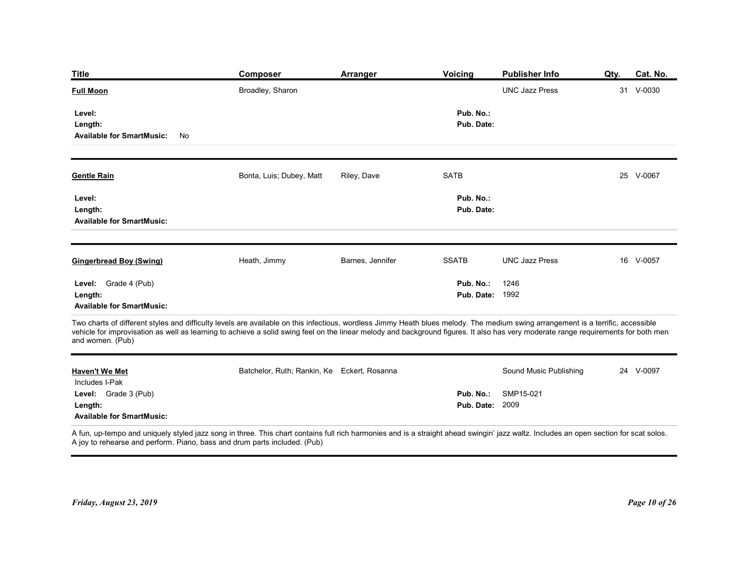| <b>Title</b>                                                                                                                                                                                                                                                                                                                                                                               | Composer                                    | <b>Arranger</b>  | Voicing                 | <b>Publisher Info</b>  | Qty. | Cat. No.      |
|--------------------------------------------------------------------------------------------------------------------------------------------------------------------------------------------------------------------------------------------------------------------------------------------------------------------------------------------------------------------------------------------|---------------------------------------------|------------------|-------------------------|------------------------|------|---------------|
| <b>Full Moon</b>                                                                                                                                                                                                                                                                                                                                                                           | Broadley, Sharon                            |                  |                         | <b>UNC Jazz Press</b>  |      | 31 V-0030     |
| Level:<br>Length:                                                                                                                                                                                                                                                                                                                                                                          |                                             |                  | Pub. No.:<br>Pub. Date: |                        |      |               |
| <b>Available for SmartMusic:</b><br>No                                                                                                                                                                                                                                                                                                                                                     |                                             |                  |                         |                        |      |               |
| <b>Gentle Rain</b>                                                                                                                                                                                                                                                                                                                                                                         | Bonta, Luis; Dubey, Matt                    | Riley, Dave      | SATB                    |                        |      | 25 V-0067     |
| Level:                                                                                                                                                                                                                                                                                                                                                                                     |                                             |                  | Pub. No.:               |                        |      |               |
| Length:<br><b>Available for SmartMusic:</b>                                                                                                                                                                                                                                                                                                                                                |                                             |                  | Pub. Date:              |                        |      |               |
| <b>Gingerbread Boy (Swing)</b>                                                                                                                                                                                                                                                                                                                                                             | Heath, Jimmy                                | Barnes, Jennifer | SSATB                   | <b>UNC Jazz Press</b>  |      | 16 V-0057     |
| Level: Grade 4 (Pub)                                                                                                                                                                                                                                                                                                                                                                       |                                             |                  | Pub. No.:               | 1246                   |      |               |
| Length:<br><b>Available for SmartMusic:</b>                                                                                                                                                                                                                                                                                                                                                |                                             |                  | <b>Pub. Date: 1992</b>  |                        |      |               |
| Two charts of different styles and difficulty levels are available on this infectious, wordless Jimmy Heath blues melody. The medium swing arrangement is a terrific, accessible<br>vehicle for improvisation as well as learning to achieve a solid swing feel on the linear melody and background figures. It also has very moderate range requirements for both men<br>and women. (Pub) |                                             |                  |                         |                        |      |               |
| <b>Haven't We Met</b><br>Includes I-Pak                                                                                                                                                                                                                                                                                                                                                    | Batchelor, Ruth; Rankin, Ke Eckert, Rosanna |                  |                         | Sound Music Publishing |      | 24 V-0097     |
| Level: Grade 3 (Pub)                                                                                                                                                                                                                                                                                                                                                                       |                                             |                  | Pub. No.:               | SMP15-021              |      |               |
| Length:<br><b>Available for SmartMusic:</b>                                                                                                                                                                                                                                                                                                                                                |                                             |                  | <b>Pub. Date: 2009</b>  |                        |      |               |
| A fun, up-tempo and uniquely styled jazz song in three. This chart contains full rich harmonies and is a straight ahead swingin' jazz waltz. Includes an open section for scat solos.<br>A joy to rehearse and perform. Piano, bass and drum parts included. (Pub)                                                                                                                         |                                             |                  |                         |                        |      |               |
|                                                                                                                                                                                                                                                                                                                                                                                            |                                             |                  |                         |                        |      |               |
| Friday, August 23, 2019                                                                                                                                                                                                                                                                                                                                                                    |                                             |                  |                         |                        |      | Page 10 of 26 |
|                                                                                                                                                                                                                                                                                                                                                                                            |                                             |                  |                         |                        |      |               |
|                                                                                                                                                                                                                                                                                                                                                                                            |                                             |                  |                         |                        |      |               |
|                                                                                                                                                                                                                                                                                                                                                                                            |                                             |                  |                         |                        |      |               |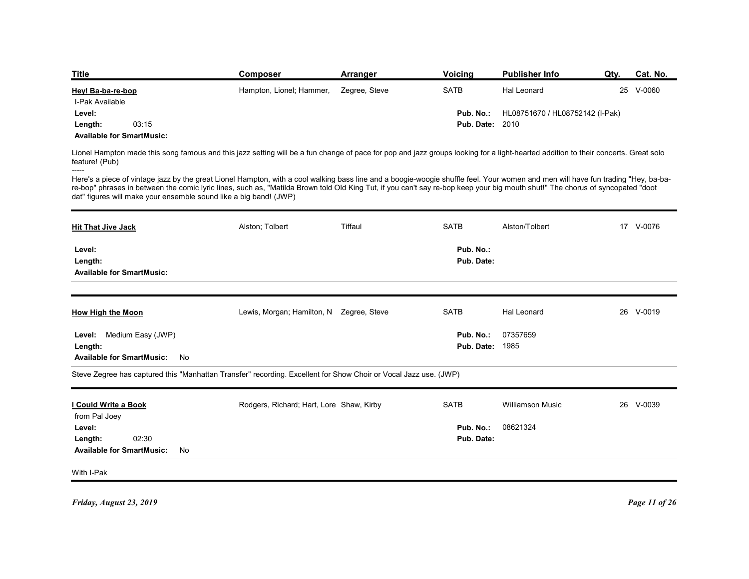| <b>Title</b>              | <b>Composer</b>          | Arranger      | Voicing   | <b>Publisher Info</b>           | Qty. Cat. No. |
|---------------------------|--------------------------|---------------|-----------|---------------------------------|---------------|
| Hey! Ba-ba-re-bop         | Hampton, Lionel; Hammer, | Zegree, Steve | SATB      | Hal Leonard                     | 25 V-0060     |
| I-Pak Available<br>Level: |                          |               | Pub. No.: | HL08751670 / HL08752142 (I-Pak) |               |

| <b>Title</b>                                                                                                                                                                                                                                                                                                                                                                                                                                                                                                                                                                                                                                     | Composer                                 | <b>Arranger</b> | <b>Voicing</b>                                     | <b>Publisher Info</b>                          | Qty. | <b>Cat. No.</b> |
|--------------------------------------------------------------------------------------------------------------------------------------------------------------------------------------------------------------------------------------------------------------------------------------------------------------------------------------------------------------------------------------------------------------------------------------------------------------------------------------------------------------------------------------------------------------------------------------------------------------------------------------------------|------------------------------------------|-----------------|----------------------------------------------------|------------------------------------------------|------|-----------------|
| Hey! Ba-ba-re-bop<br>I-Pak Available<br>Level:<br>03:15<br>Length:<br><b>Available for SmartMusic:</b>                                                                                                                                                                                                                                                                                                                                                                                                                                                                                                                                           | Hampton, Lionel; Hammer,                 | Zegree, Steve   | <b>SATB</b><br>Pub. No.:<br><b>Pub. Date: 2010</b> | Hal Leonard<br>HL08751670 / HL08752142 (I-Pak) |      | 25 V-0060       |
| Lionel Hampton made this song famous and this jazz setting will be a fun change of pace for pop and jazz groups looking for a light-hearted addition to their concerts. Great solo<br>feature! (Pub)<br>Here's a piece of vintage jazz by the great Lionel Hampton, with a cool walking bass line and a boogie-woogie shuffle feel. Your women and men will have fun trading "Hey, ba-ba-<br>re-bop" phrases in between the comic lyric lines, such as, "Matilda Brown told Old King Tut, if you can't say re-bop keep your big mouth shut!" The chorus of syncopated "doot<br>dat" figures will make your ensemble sound like a big band! (JWP) |                                          |                 |                                                    |                                                |      |                 |
| <b>Hit That Jive Jack</b><br>Level:<br>Length:<br><b>Available for SmartMusic:</b>                                                                                                                                                                                                                                                                                                                                                                                                                                                                                                                                                               | Alston; Tolbert                          | Tiffaul         | <b>SATB</b><br>Pub. No.:<br>Pub. Date:             | Alston/Tolbert                                 |      | 17 V-0076       |
| <b>How High the Moon</b><br>Level: Medium Easy (JWP)<br>Length:<br>Available for SmartMusic: No<br>Steve Zegree has captured this "Manhattan Transfer" recording. Excellent for Show Choir or Vocal Jazz use. (JWP)                                                                                                                                                                                                                                                                                                                                                                                                                              | Lewis, Morgan; Hamilton, N Zegree, Steve |                 | <b>SATB</b><br>Pub. No.:<br><b>Pub. Date: 1985</b> | Hal Leonard<br>07357659                        |      | 26 V-0019       |
| I Could Write a Book<br>from Pal Joey<br>Level:<br>02:30<br>Length:<br>Available for SmartMusic: No                                                                                                                                                                                                                                                                                                                                                                                                                                                                                                                                              | Rodgers, Richard; Hart, Lore Shaw, Kirby |                 | <b>SATB</b><br>Pub. No.: 08621324<br>Pub. Date:    | Williamson Music                               |      | 26 V-0039       |
| With I-Pak                                                                                                                                                                                                                                                                                                                                                                                                                                                                                                                                                                                                                                       |                                          |                 |                                                    |                                                |      |                 |
| Friday, August 23, 2019                                                                                                                                                                                                                                                                                                                                                                                                                                                                                                                                                                                                                          |                                          |                 |                                                    |                                                |      | Page 11 of 26   |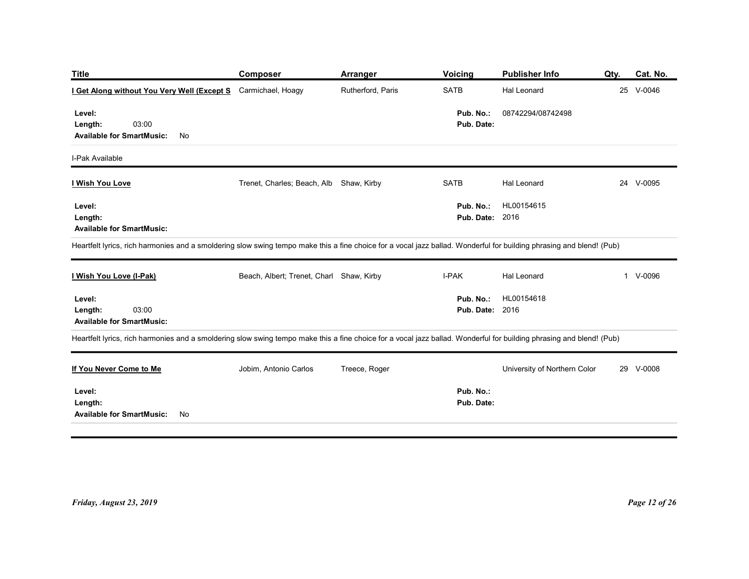| <b>Title</b>                                                                                                                                                         | <b>Composer</b>                          | <b>Arranger</b>   | Voicing                             | <b>Publisher Info</b>        | Qty. | Cat. No.      |
|----------------------------------------------------------------------------------------------------------------------------------------------------------------------|------------------------------------------|-------------------|-------------------------------------|------------------------------|------|---------------|
| I Get Along without You Very Well (Except S                                                                                                                          | Carmichael, Hoagy                        | Rutherford, Paris | SATB                                | Hal Leonard                  |      | 25 V-0046     |
| Level:<br>03:00<br>Length:<br><b>Available for SmartMusic:</b><br>No                                                                                                 |                                          |                   | Pub. No.:<br>Pub. Date:             | 08742294/08742498            |      |               |
| I-Pak Available                                                                                                                                                      |                                          |                   |                                     |                              |      |               |
| I Wish You Love                                                                                                                                                      | Trenet, Charles; Beach, Alb Shaw, Kirby  |                   | SATB                                | Hal Leonard                  |      | 24 V-0095     |
| Level:<br>Length:<br><b>Available for SmartMusic:</b>                                                                                                                |                                          |                   | Pub. No.:<br><b>Pub. Date: 2016</b> | HL00154615                   |      |               |
| Heartfelt lyrics, rich harmonies and a smoldering slow swing tempo make this a fine choice for a vocal jazz ballad. Wonderful for building phrasing and blend! (Pub) |                                          |                   |                                     |                              |      |               |
| I Wish You Love (I-Pak)                                                                                                                                              | Beach, Albert; Trenet, Charl Shaw, Kirby |                   | I-PAK                               | Hal Leonard                  |      | 1 V-0096      |
| Level:<br>03:00<br>Length:<br><b>Available for SmartMusic:</b>                                                                                                       |                                          |                   | Pub. No.:<br><b>Pub. Date: 2016</b> | HL00154618                   |      |               |
| Heartfelt lyrics, rich harmonies and a smoldering slow swing tempo make this a fine choice for a vocal jazz ballad. Wonderful for building phrasing and blend! (Pub) |                                          |                   |                                     |                              |      |               |
| If You Never Come to Me                                                                                                                                              | Jobim, Antonio Carlos                    | Treece, Roger     |                                     | University of Northern Color |      | 29 V-0008     |
| Level:<br>Length:<br><b>Available for SmartMusic:</b><br>No                                                                                                          |                                          |                   | Pub. No.:<br>Pub. Date:             |                              |      |               |
|                                                                                                                                                                      |                                          |                   |                                     |                              |      |               |
|                                                                                                                                                                      |                                          |                   |                                     |                              |      |               |
|                                                                                                                                                                      |                                          |                   |                                     |                              |      |               |
| Friday, August 23, 2019                                                                                                                                              |                                          |                   |                                     |                              |      | Page 12 of 26 |
|                                                                                                                                                                      |                                          |                   |                                     |                              |      |               |
|                                                                                                                                                                      |                                          |                   |                                     |                              |      |               |
|                                                                                                                                                                      |                                          |                   |                                     |                              |      |               |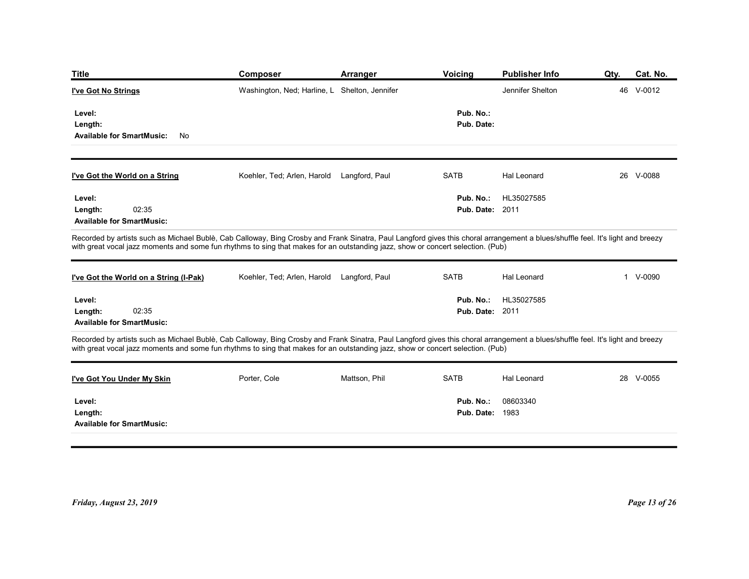| <b>Title</b>                                                                                                                                                                                                                                                                                                       | <b>Composer</b>                               | <b>Arranger</b> | Voicing                             | <b>Publisher Info</b> | Qty. | Cat. No.      |
|--------------------------------------------------------------------------------------------------------------------------------------------------------------------------------------------------------------------------------------------------------------------------------------------------------------------|-----------------------------------------------|-----------------|-------------------------------------|-----------------------|------|---------------|
| I've Got No Strings                                                                                                                                                                                                                                                                                                | Washington, Ned; Harline, L Shelton, Jennifer |                 |                                     | Jennifer Shelton      |      | 46 V-0012     |
| Level:                                                                                                                                                                                                                                                                                                             |                                               |                 | Pub. No.:                           |                       |      |               |
| Length:<br><b>Available for SmartMusic:</b><br>No                                                                                                                                                                                                                                                                  |                                               |                 | Pub. Date:                          |                       |      |               |
|                                                                                                                                                                                                                                                                                                                    |                                               |                 |                                     |                       |      |               |
| I've Got the World on a String                                                                                                                                                                                                                                                                                     | Koehler, Ted; Arlen, Harold Langford, Paul    |                 | SATB                                | Hal Leonard           |      | 26 V-0088     |
| Level:                                                                                                                                                                                                                                                                                                             |                                               |                 | Pub. No.:                           | HL35027585            |      |               |
| 02:35<br>Length:<br><b>Available for SmartMusic:</b>                                                                                                                                                                                                                                                               |                                               |                 | <b>Pub. Date: 2011</b>              |                       |      |               |
| Recorded by artists such as Michael Bublè, Cab Calloway, Bing Crosby and Frank Sinatra, Paul Langford gives this choral arrangement a blues/shuffle feel. It's light and breezy                                                                                                                                    |                                               |                 |                                     |                       |      |               |
| with great vocal jazz moments and some fun rhythms to sing that makes for an outstanding jazz, show or concert selection. (Pub)                                                                                                                                                                                    |                                               |                 |                                     |                       |      |               |
|                                                                                                                                                                                                                                                                                                                    |                                               |                 |                                     |                       |      |               |
| I've Got the World on a String (I-Pak)                                                                                                                                                                                                                                                                             | Koehler, Ted; Arlen, Harold Langford, Paul    |                 | SATB                                | Hal Leonard           |      | 1 V-0090      |
| Level:                                                                                                                                                                                                                                                                                                             |                                               |                 | Pub. No.:                           | HL35027585            |      |               |
| 02:35<br>Length:<br><b>Available for SmartMusic:</b>                                                                                                                                                                                                                                                               |                                               |                 | <b>Pub. Date: 2011</b>              |                       |      |               |
| Recorded by artists such as Michael Bublè, Cab Calloway, Bing Crosby and Frank Sinatra, Paul Langford gives this choral arrangement a blues/shuffle feel. It's light and breezy<br>with great vocal jazz moments and some fun rhythms to sing that makes for an outstanding jazz, show or concert selection. (Pub) |                                               |                 |                                     |                       |      |               |
|                                                                                                                                                                                                                                                                                                                    |                                               |                 |                                     |                       |      |               |
| I've Got You Under My Skin                                                                                                                                                                                                                                                                                         | Porter, Cole                                  | Mattson, Phil   | <b>SATB</b>                         | Hal Leonard           |      | 28 V-0055     |
| Level:<br>Length:                                                                                                                                                                                                                                                                                                  |                                               |                 | Pub. No.:<br><b>Pub. Date: 1983</b> | 08603340              |      |               |
| <b>Available for SmartMusic:</b>                                                                                                                                                                                                                                                                                   |                                               |                 |                                     |                       |      |               |
|                                                                                                                                                                                                                                                                                                                    |                                               |                 |                                     |                       |      |               |
|                                                                                                                                                                                                                                                                                                                    |                                               |                 |                                     |                       |      |               |
|                                                                                                                                                                                                                                                                                                                    |                                               |                 |                                     |                       |      |               |
| Friday, August 23, 2019                                                                                                                                                                                                                                                                                            |                                               |                 |                                     |                       |      | Page 13 of 26 |
|                                                                                                                                                                                                                                                                                                                    |                                               |                 |                                     |                       |      |               |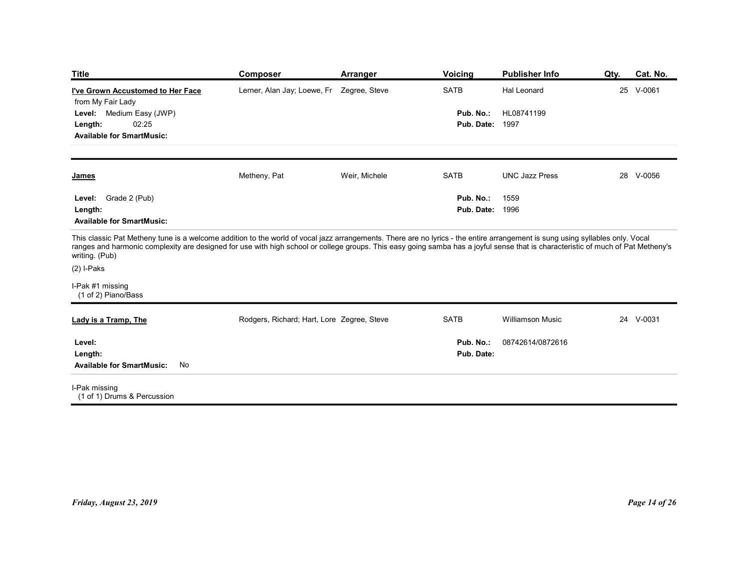| <b>Title</b><br>I've Grown Accustomed to Her Face                                                                                                                                                                                                  | Composer                                   | Arranger      | Voicing<br>SATB                     | <b>Publisher Info</b><br>Hal Leonard | Qty. | Cat. No.<br>25 V-0061 |
|----------------------------------------------------------------------------------------------------------------------------------------------------------------------------------------------------------------------------------------------------|--------------------------------------------|---------------|-------------------------------------|--------------------------------------|------|-----------------------|
| from My Fair Lady<br>Level: Medium Easy (JWP)                                                                                                                                                                                                      | Lerner, Alan Jay; Loewe, Fr Zegree, Steve  |               | Pub. No.:                           | HL08741199                           |      |                       |
| 02:25<br>Length:<br><b>Available for SmartMusic:</b>                                                                                                                                                                                               |                                            |               | <b>Pub. Date: 1997</b>              |                                      |      |                       |
|                                                                                                                                                                                                                                                    |                                            |               |                                     |                                      |      |                       |
| <b>James</b>                                                                                                                                                                                                                                       | Metheny, Pat                               | Weir, Michele | SATB                                | <b>UNC Jazz Press</b>                |      | 28 V-0056             |
| Level: Grade 2 (Pub)<br>Length:<br><b>Available for SmartMusic:</b>                                                                                                                                                                                |                                            |               | Pub. No.:<br><b>Pub. Date: 1996</b> | 1559                                 |      |                       |
| This classic Pat Metheny tune is a welcome addition to the world of vocal jazz arrangements. There are no lyrics - the entire arrangement is sung using syllables only. Vocal<br>ranges and harmonic complexity are designed for<br>writing. (Pub) |                                            |               |                                     |                                      |      |                       |
|                                                                                                                                                                                                                                                    |                                            |               |                                     |                                      |      |                       |
| $(2)$ I-Paks<br>I-Pak #1 missing<br>(1 of 2) Piano/Bass                                                                                                                                                                                            |                                            |               |                                     |                                      |      |                       |
| Lady is a Tramp, The                                                                                                                                                                                                                               | Rodgers, Richard; Hart, Lore Zegree, Steve |               | <b>SATB</b>                         | Williamson Music                     |      | 24 V-0031             |
| Level:<br>Length:<br>Available for SmartMusic: No                                                                                                                                                                                                  |                                            |               | Pub. No.:<br>Pub. Date:             | 08742614/0872616                     |      |                       |
| I-Pak missing<br>(1 of 1) Drums & Percussion                                                                                                                                                                                                       |                                            |               |                                     |                                      |      |                       |
|                                                                                                                                                                                                                                                    |                                            |               |                                     |                                      |      |                       |
|                                                                                                                                                                                                                                                    |                                            |               |                                     |                                      |      |                       |
|                                                                                                                                                                                                                                                    |                                            |               |                                     |                                      |      |                       |
|                                                                                                                                                                                                                                                    |                                            |               |                                     |                                      |      |                       |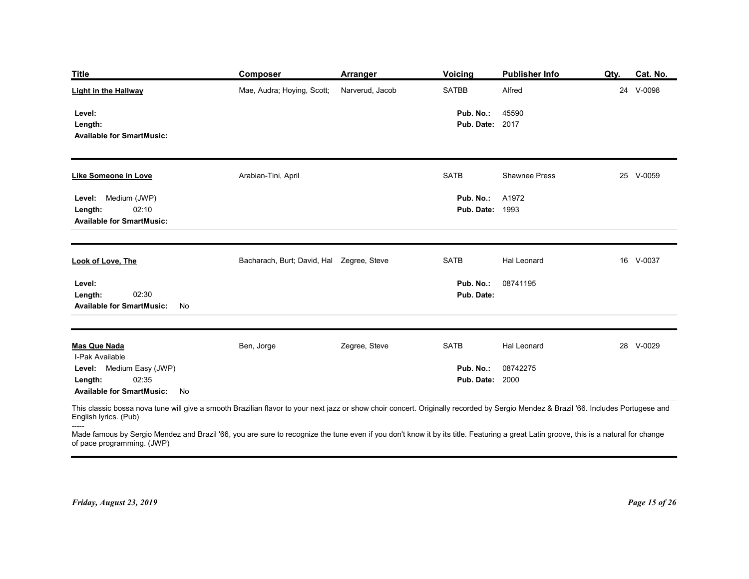| <b>Title</b>                                                                                                                                                                                                                | Composer                                  | <b>Arranger</b> | Voicing                             | <b>Publisher Info</b> | Qty. | Cat. No.      |
|-----------------------------------------------------------------------------------------------------------------------------------------------------------------------------------------------------------------------------|-------------------------------------------|-----------------|-------------------------------------|-----------------------|------|---------------|
| <b>Light in the Hallway</b>                                                                                                                                                                                                 | Mae, Audra; Hoying, Scott;                | Narverud, Jacob | SATBB                               | Alfred                |      | 24 V-0098     |
| Level:<br>Length:                                                                                                                                                                                                           |                                           |                 | Pub. No.:<br><b>Pub. Date: 2017</b> | 45590                 |      |               |
| <b>Available for SmartMusic:</b>                                                                                                                                                                                            |                                           |                 |                                     |                       |      |               |
| Like Someone in Love                                                                                                                                                                                                        | Arabian-Tini, April                       |                 | <b>SATB</b>                         | <b>Shawnee Press</b>  |      | 25 V-0059     |
| Medium (JWP)<br>Level:<br>02:10<br>Length:<br><b>Available for SmartMusic:</b>                                                                                                                                              |                                           |                 | Pub. No.:<br><b>Pub. Date: 1993</b> | A1972                 |      |               |
| Look of Love, The                                                                                                                                                                                                           | Bacharach, Burt; David, Hal Zegree, Steve |                 | SATB                                | Hal Leonard           |      | 16 V-0037     |
| Level:<br>02:30<br>Length:<br>Available for SmartMusic: No                                                                                                                                                                  |                                           |                 | Pub. No.:<br>Pub. Date:             | 08741195              |      |               |
| <b>Mas Que Nada</b><br>I-Pak Available                                                                                                                                                                                      | Ben, Jorge                                | Zegree, Steve   | SATB                                | Hal Leonard           |      | 28 V-0029     |
| Level: Medium Easy (JWP)<br>02:35<br>Length:<br><b>Available for SmartMusic:</b><br>No                                                                                                                                      |                                           |                 | Pub. No.:<br><b>Pub. Date: 2000</b> | 08742275              |      |               |
| This classic bossa nova tune will give a smooth Brazilian flavor to your next jazz or show choir concert. Originally recorded by Sergio Mendez & Brazil '66. Includes Portugese and<br>English lyrics. (Pub)                |                                           |                 |                                     |                       |      |               |
| -----<br>Made famous by Sergio Mendez and Brazil '66, you are sure to recognize the tune even if you don't know it by its title. Featuring a great Latin groove, this is a natural for change<br>of pace programming. (JWP) |                                           |                 |                                     |                       |      |               |
|                                                                                                                                                                                                                             |                                           |                 |                                     |                       |      |               |
| Friday, August 23, 2019                                                                                                                                                                                                     |                                           |                 |                                     |                       |      | Page 15 of 26 |
|                                                                                                                                                                                                                             |                                           |                 |                                     |                       |      |               |
|                                                                                                                                                                                                                             |                                           |                 |                                     |                       |      |               |
|                                                                                                                                                                                                                             |                                           |                 |                                     |                       |      |               |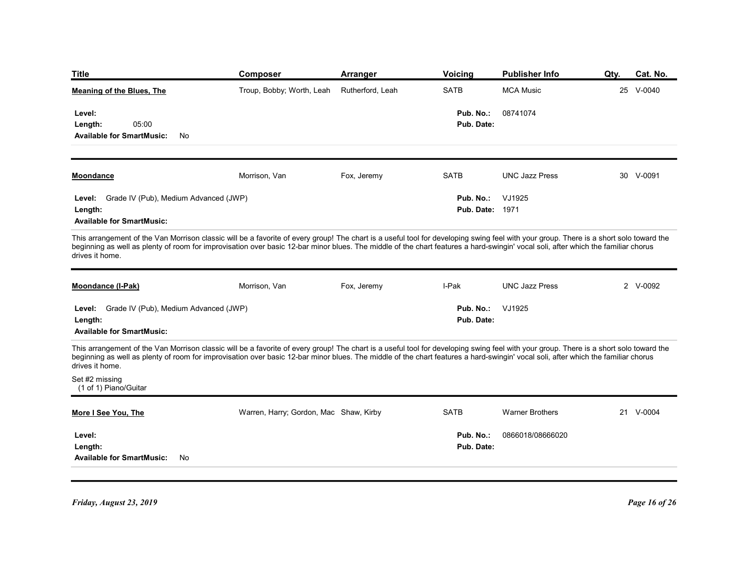| <b>Title</b>                                                                                                                                                                                                                                                                                                                                                                                   | <b>Composer</b>                        | <b>Arranger</b>  | Voicing                 | <b>Publisher Info</b>  | Cat. No.<br>Qty. |
|------------------------------------------------------------------------------------------------------------------------------------------------------------------------------------------------------------------------------------------------------------------------------------------------------------------------------------------------------------------------------------------------|----------------------------------------|------------------|-------------------------|------------------------|------------------|
| <b>Meaning of the Blues, The</b>                                                                                                                                                                                                                                                                                                                                                               | Troup, Bobby; Worth, Leah              | Rutherford, Leah | SATB                    | <b>MCA Music</b>       | 25 V-0040        |
| Level:                                                                                                                                                                                                                                                                                                                                                                                         |                                        |                  | Pub. No.:               | 08741074               |                  |
| 05:00<br>Length:<br><b>Available for SmartMusic:</b><br>No                                                                                                                                                                                                                                                                                                                                     |                                        |                  | Pub. Date:              |                        |                  |
|                                                                                                                                                                                                                                                                                                                                                                                                |                                        |                  |                         |                        |                  |
| Moondance                                                                                                                                                                                                                                                                                                                                                                                      | Morrison, Van                          | Fox, Jeremy      | SATB                    | <b>UNC Jazz Press</b>  | 30 V-0091        |
| Level: Grade IV (Pub), Medium Advanced (JWP)                                                                                                                                                                                                                                                                                                                                                   |                                        |                  | Pub. No.:               | VJ1925                 |                  |
| Length:<br><b>Available for SmartMusic:</b>                                                                                                                                                                                                                                                                                                                                                    |                                        |                  | <b>Pub. Date: 1971</b>  |                        |                  |
|                                                                                                                                                                                                                                                                                                                                                                                                |                                        |                  |                         |                        |                  |
| This arrangement of the Van Morrison classic will be a favorite of every group! The chart is a useful tool for developing swing feel with your group. There is a short solo toward the                                                                                                                                                                                                         |                                        |                  |                         |                        |                  |
| beginning as well as plenty of room for improvisation over basic 12-bar minor blues. The middle of the chart features a hard-swingin' vocal soli, after which the familiar chorus<br>drives it home.                                                                                                                                                                                           |                                        |                  |                         |                        |                  |
| Moondance (I-Pak)                                                                                                                                                                                                                                                                                                                                                                              | Morrison, Van                          | Fox, Jeremy      | I-Pak                   | <b>UNC Jazz Press</b>  | 2 V-0092         |
|                                                                                                                                                                                                                                                                                                                                                                                                |                                        |                  |                         |                        |                  |
| Level: Grade IV (Pub), Medium Advanced (JWP)<br>Length:                                                                                                                                                                                                                                                                                                                                        |                                        |                  | Pub. No.:<br>Pub. Date: | VJ1925                 |                  |
| <b>Available for SmartMusic:</b>                                                                                                                                                                                                                                                                                                                                                               |                                        |                  |                         |                        |                  |
| This arrangement of the Van Morrison classic will be a favorite of every group! The chart is a useful tool for developing swing feel with your group. There is a short solo toward the<br>beginning as well as plenty of room for improvisation over basic 12-bar minor blues. The middle of the chart features a hard-swingin' vocal soli, after which the familiar chorus<br>drives it home. |                                        |                  |                         |                        |                  |
| Set #2 missing                                                                                                                                                                                                                                                                                                                                                                                 |                                        |                  |                         |                        |                  |
| (1 of 1) Piano/Guitar                                                                                                                                                                                                                                                                                                                                                                          |                                        |                  |                         |                        |                  |
| More I See You, The                                                                                                                                                                                                                                                                                                                                                                            | Warren, Harry; Gordon, Mac Shaw, Kirby |                  | SATB                    | <b>Warner Brothers</b> | 21 V-0004        |
| Level:                                                                                                                                                                                                                                                                                                                                                                                         |                                        |                  | Pub. No.:               | 0866018/08666020       |                  |
| Length:<br>Available for SmartMusic: No                                                                                                                                                                                                                                                                                                                                                        |                                        |                  | Pub. Date:              |                        |                  |
|                                                                                                                                                                                                                                                                                                                                                                                                |                                        |                  |                         |                        |                  |
| Friday, August 23, 2019                                                                                                                                                                                                                                                                                                                                                                        |                                        |                  |                         |                        | Page 16 of 26    |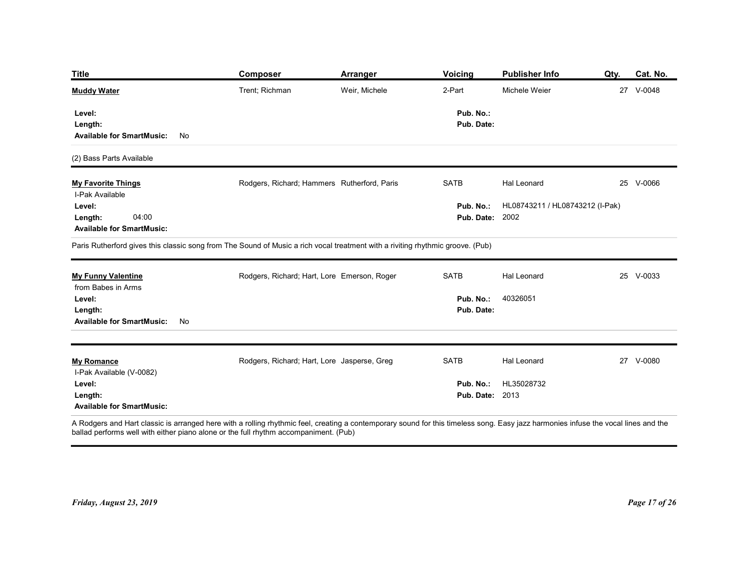| <b>Title</b>                                                                                                                                                                                                                                                               | Composer                                    | <b>Arranger</b>                             | Voicing                             | <b>Publisher Info</b>           | Qty. | Cat. No.      |
|----------------------------------------------------------------------------------------------------------------------------------------------------------------------------------------------------------------------------------------------------------------------------|---------------------------------------------|---------------------------------------------|-------------------------------------|---------------------------------|------|---------------|
| <b>Muddy Water</b>                                                                                                                                                                                                                                                         | Trent; Richman                              | Weir, Michele                               | 2-Part                              | Michele Weier                   |      | 27 V-0048     |
| Level:<br>Length:<br><b>Available for SmartMusic:</b><br>No                                                                                                                                                                                                                |                                             |                                             | Pub. No.:<br>Pub. Date:             |                                 |      |               |
| (2) Bass Parts Available                                                                                                                                                                                                                                                   |                                             |                                             |                                     |                                 |      |               |
| <b>My Favorite Things</b><br>I-Pak Available                                                                                                                                                                                                                               |                                             | Rodgers, Richard; Hammers Rutherford, Paris | SATB                                | Hal Leonard                     |      | 25 V-0066     |
| Level:<br>04:00<br>Length:<br><b>Available for SmartMusic:</b>                                                                                                                                                                                                             |                                             |                                             | Pub. No.:<br><b>Pub. Date: 2002</b> | HL08743211 / HL08743212 (I-Pak) |      |               |
| Paris Rutherford gives this classic song from The Sound of Music a rich vocal treatment with a riviting rhythmic groove. (Pub)                                                                                                                                             |                                             |                                             |                                     |                                 |      |               |
| <b>My Funny Valentine</b><br>from Babes in Arms                                                                                                                                                                                                                            |                                             | Rodgers, Richard; Hart, Lore Emerson, Roger | SATB                                | Hal Leonard                     |      | 25 V-0033     |
| Level:<br>Length:<br><b>Available for SmartMusic:</b><br>No                                                                                                                                                                                                                |                                             |                                             | Pub. No.:<br>Pub. Date:             | 40326051                        |      |               |
| <b>My Romance</b><br>I-Pak Available (V-0082)                                                                                                                                                                                                                              | Rodgers, Richard; Hart, Lore Jasperse, Greg |                                             | SATB                                | Hal Leonard                     |      | 27 V-0080     |
| Level:<br>Length:<br><b>Available for SmartMusic:</b>                                                                                                                                                                                                                      |                                             |                                             | Pub. No.:<br><b>Pub. Date: 2013</b> | HL35028732                      |      |               |
| A Rodgers and Hart classic is arranged here with a rolling rhythmic feel, creating a contemporary sound for this timeless song. Easy jazz harmonies infuse the vocal lines and the<br>ballad performs well with either piano alone or the full rhythm accompaniment. (Pub) |                                             |                                             |                                     |                                 |      |               |
|                                                                                                                                                                                                                                                                            |                                             |                                             |                                     |                                 |      |               |
|                                                                                                                                                                                                                                                                            |                                             |                                             |                                     |                                 |      |               |
| Friday, August 23, 2019                                                                                                                                                                                                                                                    |                                             |                                             |                                     |                                 |      | Page 17 of 26 |
|                                                                                                                                                                                                                                                                            |                                             |                                             |                                     |                                 |      |               |
|                                                                                                                                                                                                                                                                            |                                             |                                             |                                     |                                 |      |               |
|                                                                                                                                                                                                                                                                            |                                             |                                             |                                     |                                 |      |               |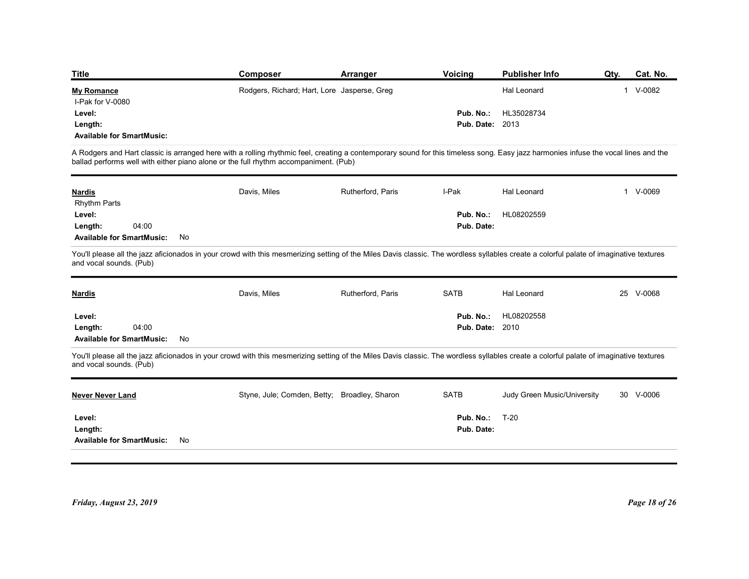| <b>Title</b><br><b>My Romance</b>                                                                                                                                                                                                                                          | Composer<br>Rodgers, Richard; Hart, Lore Jasperse, Greg | <b>Arranger</b>   | Voicing                             | <b>Publisher Info</b><br>Hal Leonard | Qty.<br>$\mathbf{1}$ | Cat. No.<br>$V-0082$ |
|----------------------------------------------------------------------------------------------------------------------------------------------------------------------------------------------------------------------------------------------------------------------------|---------------------------------------------------------|-------------------|-------------------------------------|--------------------------------------|----------------------|----------------------|
| I-Pak for V-0080                                                                                                                                                                                                                                                           |                                                         |                   |                                     |                                      |                      |                      |
| Level:<br>Length:                                                                                                                                                                                                                                                          |                                                         |                   | Pub. No.:<br><b>Pub. Date: 2013</b> | HL35028734                           |                      |                      |
| <b>Available for SmartMusic:</b>                                                                                                                                                                                                                                           |                                                         |                   |                                     |                                      |                      |                      |
| A Rodgers and Hart classic is arranged here with a rolling rhythmic feel, creating a contemporary sound for this timeless song. Easy jazz harmonies infuse the vocal lines and the<br>ballad performs well with either piano alone or the full rhythm accompaniment. (Pub) |                                                         |                   |                                     |                                      |                      |                      |
| <b>Nardis</b>                                                                                                                                                                                                                                                              | Davis, Miles                                            | Rutherford, Paris | I-Pak                               | Hal Leonard                          |                      | 1 V-0069             |
| <b>Rhythm Parts</b><br>Level:                                                                                                                                                                                                                                              |                                                         |                   | Pub. No.:                           | HL08202559                           |                      |                      |
| 04:00<br>Length:<br><b>Available for SmartMusic:</b><br>No                                                                                                                                                                                                                 |                                                         |                   | Pub. Date:                          |                                      |                      |                      |
| You'll please all the jazz aficionados in your crowd with this mesmerizing setting of the Miles Davis classic. The wordless syllables create a colorful palate of imaginative textures<br>and vocal sounds. (Pub)                                                          |                                                         |                   |                                     |                                      |                      |                      |
| <b>Nardis</b>                                                                                                                                                                                                                                                              | Davis, Miles                                            | Rutherford, Paris | SATB                                | Hal Leonard                          |                      | 25 V-0068            |
| Level:                                                                                                                                                                                                                                                                     |                                                         |                   | Pub. No.:                           | HL08202558                           |                      |                      |
| 04:00<br>Length:<br>Available for SmartMusic: No                                                                                                                                                                                                                           |                                                         |                   | <b>Pub. Date: 2010</b>              |                                      |                      |                      |
|                                                                                                                                                                                                                                                                            |                                                         |                   |                                     |                                      |                      |                      |

|                                      |       |    | ballad performs well with either piano alone or the full rhythm accompaniment. (Pub) |                   |                        | A Rodgers and Hart classic is arranged here with a rolling rhythmic feel, creating a contemporary sound for this timeless song. Easy jazz harmonies infuse the vocal lines and the     |               |
|--------------------------------------|-------|----|--------------------------------------------------------------------------------------|-------------------|------------------------|----------------------------------------------------------------------------------------------------------------------------------------------------------------------------------------|---------------|
| <b>Nardis</b><br><b>Rhythm Parts</b> |       |    | Davis, Miles                                                                         | Rutherford, Paris | I-Pak                  | <b>Hal Leonard</b>                                                                                                                                                                     | 1 V-0069      |
| Level:                               |       |    |                                                                                      |                   | Pub. No.:              | HL08202559                                                                                                                                                                             |               |
| Length:                              | 04:00 |    |                                                                                      |                   | Pub. Date:             |                                                                                                                                                                                        |               |
| <b>Available for SmartMusic:</b>     |       | No |                                                                                      |                   |                        |                                                                                                                                                                                        |               |
| and vocal sounds. (Pub)              |       |    |                                                                                      |                   |                        | You'll please all the jazz aficionados in your crowd with this mesmerizing setting of the Miles Davis classic. The wordless syllables create a colorful palate of imaginative textures |               |
| <b>Nardis</b>                        |       |    | Davis, Miles                                                                         | Rutherford, Paris | SATB                   | Hal Leonard                                                                                                                                                                            | 25 V-0068     |
| Level:                               |       |    |                                                                                      |                   | Pub. No.:              | HL08202558                                                                                                                                                                             |               |
| Length:                              | 04:00 |    |                                                                                      |                   | <b>Pub. Date: 2010</b> |                                                                                                                                                                                        |               |
| <b>Available for SmartMusic:</b>     |       | No |                                                                                      |                   |                        |                                                                                                                                                                                        |               |
| and vocal sounds. (Pub)              |       |    |                                                                                      |                   |                        | You'll please all the jazz aficionados in your crowd with this mesmerizing setting of the Miles Davis classic. The wordless syllables create a colorful palate of imaginative textures |               |
| <b>Never Never Land</b>              |       |    | Styne, Jule; Comden, Betty; Broadley, Sharon                                         |                   | SATB                   | Judy Green Music/University                                                                                                                                                            | 30 V-0006     |
| Level:                               |       |    |                                                                                      |                   | Pub. No.:              | $T-20$                                                                                                                                                                                 |               |
| Length:                              |       |    |                                                                                      |                   | Pub. Date:             |                                                                                                                                                                                        |               |
| <b>Available for SmartMusic:</b>     |       | No |                                                                                      |                   |                        |                                                                                                                                                                                        |               |
|                                      |       |    |                                                                                      |                   |                        |                                                                                                                                                                                        |               |
| Friday, August 23, 2019              |       |    |                                                                                      |                   |                        |                                                                                                                                                                                        | Page 18 of 26 |
|                                      |       |    |                                                                                      |                   |                        |                                                                                                                                                                                        |               |
|                                      |       |    |                                                                                      |                   |                        |                                                                                                                                                                                        |               |

| Pub. No.:<br>T-20<br>Level:<br>Length:<br>Pub. Date: | <b>Never Never Land</b>             | Styne, Jule; Comden, Betty; Broadley, Sharon | SATB | Judy Green Music/University | 30 V-0006 |
|------------------------------------------------------|-------------------------------------|----------------------------------------------|------|-----------------------------|-----------|
|                                                      | <b>Available for SmartMusic: No</b> |                                              |      |                             |           |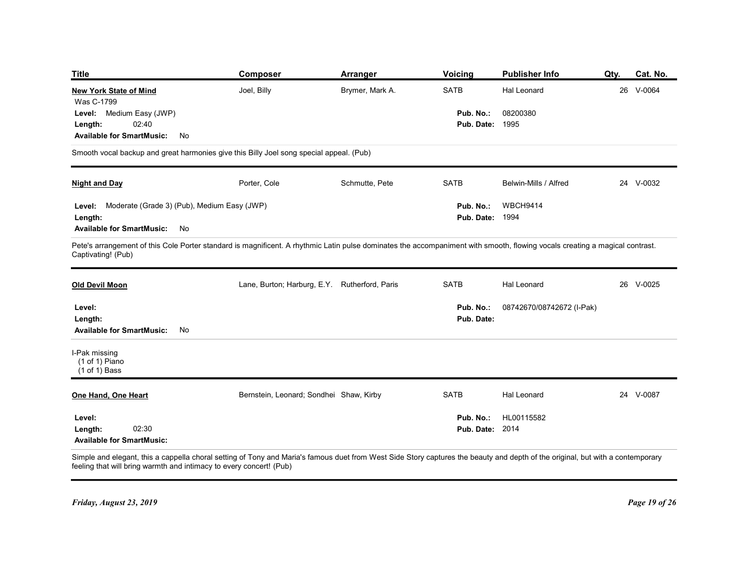| <b>Title</b>                                                                                                                                                                                                                                          | <b>Composer</b>                               | <b>Arranger</b> | <b>Voicing</b>                      | <b>Publisher Info</b>     | Cat. No.<br>Qty. |
|-------------------------------------------------------------------------------------------------------------------------------------------------------------------------------------------------------------------------------------------------------|-----------------------------------------------|-----------------|-------------------------------------|---------------------------|------------------|
| <b>New York State of Mind</b><br>Was C-1799                                                                                                                                                                                                           | Joel, Billy                                   | Brymer, Mark A. | SATB                                | Hal Leonard               | 26 V-0064        |
| Level: Medium Easy (JWP)<br>02:40<br>Length:                                                                                                                                                                                                          |                                               |                 | Pub. No.:<br><b>Pub. Date: 1995</b> | 08200380                  |                  |
| <b>Available for SmartMusic:</b><br>No                                                                                                                                                                                                                |                                               |                 |                                     |                           |                  |
| Smooth vocal backup and great harmonies give this Billy Joel song special appeal. (Pub)                                                                                                                                                               |                                               |                 |                                     |                           |                  |
| <b>Night and Day</b>                                                                                                                                                                                                                                  | Porter, Cole                                  | Schmutte, Pete  | <b>SATB</b>                         | Belwin-Mills / Alfred     | 24 V-0032        |
| Level: Moderate (Grade 3) (Pub), Medium Easy (JWP)<br>Length:<br>Available for SmartMusic: No                                                                                                                                                         |                                               |                 | Pub. No.:<br><b>Pub. Date: 1994</b> | <b>WBCH9414</b>           |                  |
| Pete's arrangement of this Cole Porter standard is magnificent. A rhythmic Latin pulse dominates the accompaniment with smooth, flowing vocals creating a magical contrast.<br>Captivating! (Pub)                                                     |                                               |                 |                                     |                           |                  |
| <b>Old Devil Moon</b>                                                                                                                                                                                                                                 | Lane, Burton; Harburg, E.Y. Rutherford, Paris |                 | SATB                                | Hal Leonard               | 26 V-0025        |
| Level:<br>Length:<br>Available for SmartMusic: No                                                                                                                                                                                                     |                                               |                 | Pub. No.:<br>Pub. Date:             | 08742670/08742672 (I-Pak) |                  |
| I-Pak missing<br>(1 of 1) Piano<br>$(1 of 1)$ Bass                                                                                                                                                                                                    |                                               |                 |                                     |                           |                  |
| One Hand, One Heart                                                                                                                                                                                                                                   | Bernstein, Leonard; Sondhei Shaw, Kirby       |                 | <b>SATB</b>                         | Hal Leonard               | 24 V-0087        |
|                                                                                                                                                                                                                                                       |                                               |                 | Pub. No.:<br><b>Pub. Date: 2014</b> | HL00115582                |                  |
| Level:<br>02:30<br>Length:<br><b>Available for SmartMusic:</b>                                                                                                                                                                                        |                                               |                 |                                     |                           |                  |
| Simple and elegant, this a cappella choral setting of Tony and Maria's famous duet from West Side Story captures the beauty and depth of the original, but with a contemporary<br>feeling that will bring warmth and intimacy to every concert! (Pub) |                                               |                 |                                     |                           |                  |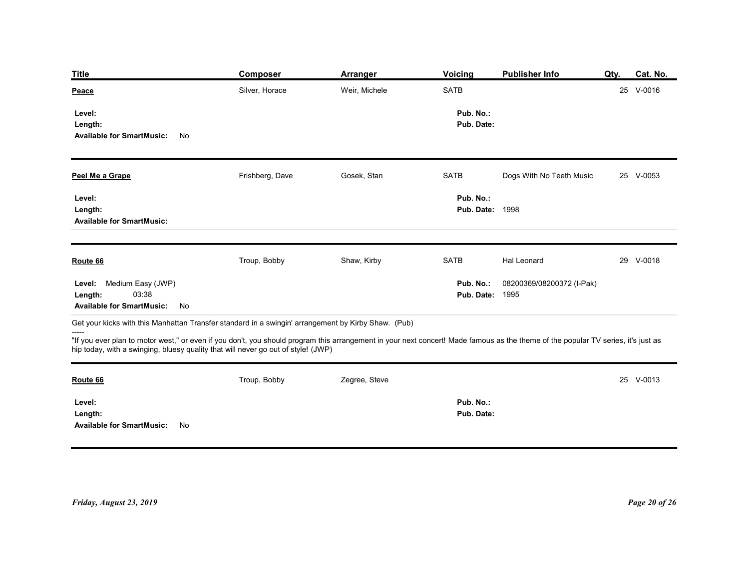| <b>Title</b>                                                                                                                                                                                                                      | Composer        | <b>Arranger</b> | <b>Voicing</b>          | Publisher Info            | Qty.<br>Cat. No. |
|-----------------------------------------------------------------------------------------------------------------------------------------------------------------------------------------------------------------------------------|-----------------|-----------------|-------------------------|---------------------------|------------------|
| Peace                                                                                                                                                                                                                             | Silver, Horace  | Weir, Michele   | SATB                    |                           | 25 V-0016        |
| Level:<br>Length:                                                                                                                                                                                                                 |                 |                 | Pub. No.:<br>Pub. Date: |                           |                  |
| <b>Available for SmartMusic:</b><br>No                                                                                                                                                                                            |                 |                 |                         |                           |                  |
| Peel Me a Grape                                                                                                                                                                                                                   | Frishberg, Dave | Gosek, Stan     | SATB                    | Dogs With No Teeth Music  | 25 V-0053        |
| Level:                                                                                                                                                                                                                            |                 |                 | Pub. No.:               |                           |                  |
| Length:<br><b>Available for SmartMusic:</b>                                                                                                                                                                                       |                 |                 | <b>Pub. Date: 1998</b>  |                           |                  |
| Route 66                                                                                                                                                                                                                          | Troup, Bobby    | Shaw, Kirby     | SATB                    | Hal Leonard               | 29 V-0018        |
| Level: Medium Easy (JWP)                                                                                                                                                                                                          |                 |                 | Pub. No.:               | 08200369/08200372 (I-Pak) |                  |
| 03:38<br>Length:<br>Available for SmartMusic: No                                                                                                                                                                                  |                 |                 | <b>Pub. Date: 1995</b>  |                           |                  |
| Get your kicks with this Manhattan Transfer standard in a swingin' arrangement by Kirby Shaw. (Pub)<br>-----                                                                                                                      |                 |                 |                         |                           |                  |
| "If you ever plan to motor west," or even if you don't, you should program this arrangement in your next concert! Made famous as the theme of the popular TV series, it's just as<br>hip today, with a swinging, bluesy quality t |                 |                 |                         |                           |                  |
| Route 66                                                                                                                                                                                                                          | Troup, Bobby    | Zegree, Steve   |                         |                           | 25 V-0013        |
| Level:<br>Length:                                                                                                                                                                                                                 |                 |                 | Pub. No.:<br>Pub. Date: |                           |                  |
| Available for SmartMusic: No                                                                                                                                                                                                      |                 |                 |                         |                           |                  |
|                                                                                                                                                                                                                                   |                 |                 |                         |                           |                  |
|                                                                                                                                                                                                                                   |                 |                 |                         |                           |                  |
| Friday, August 23, 2019                                                                                                                                                                                                           |                 |                 |                         |                           | Page 20 of 26    |
|                                                                                                                                                                                                                                   |                 |                 |                         |                           |                  |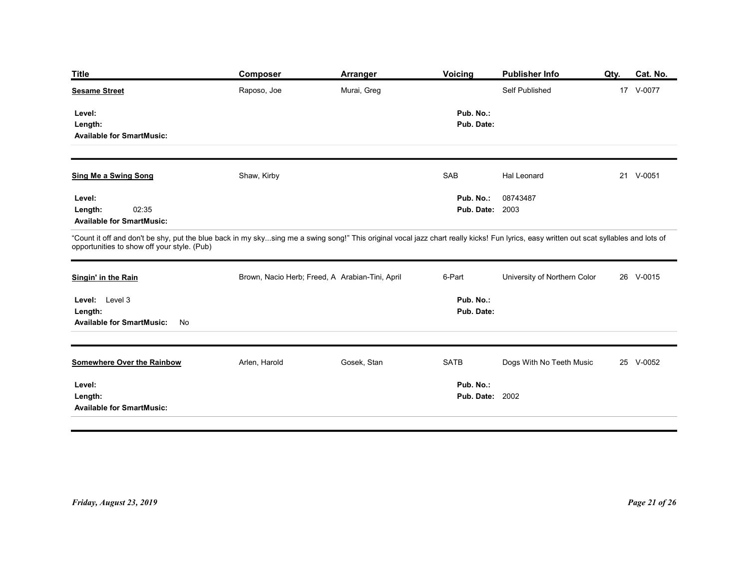| <b>Title</b><br>Voicing<br>Composer<br><b>Publisher Info</b><br>Qty.<br>Cat. No.<br><b>Arranger</b><br>Murai, Greg<br>17 V-0077<br><b>Sesame Street</b><br>Raposo, Joe<br>Self Published<br>Pub. No.:<br>Level:<br>Pub. Date:<br>Length:<br><b>Available for SmartMusic:</b><br>Shaw, Kirby<br>SAB<br>21 V-0051<br><b>Sing Me a Swing Song</b><br>Hal Leonard<br>08743487<br>Pub. No.:<br>Level:<br>02:35<br><b>Pub. Date: 2003</b><br>Length:<br><b>Available for SmartMusic:</b><br>"Count it off and don't be shy, put the blue back in my skysing me a swing song!" This original vocal jazz chart really kicks! Fun lyrics, easy written out scat syllables and lots of<br>opportunities to show off your style. (Pub)<br>Brown, Nacio Herb; Freed, A Arabian-Tini, April<br>University of Northern Color<br>6-Part<br>26 V-0015<br>Singin' in the Rain<br>Level: Level 3<br>Pub. No.:<br>Length:<br>Pub. Date:<br><b>Available for SmartMusic:</b><br>No<br>Gosek, Stan<br>Dogs With No Teeth Music<br><b>Somewhere Over the Rainbow</b><br>Arlen, Harold<br><b>SATB</b><br>25 V-0052 |  |
|---------------------------------------------------------------------------------------------------------------------------------------------------------------------------------------------------------------------------------------------------------------------------------------------------------------------------------------------------------------------------------------------------------------------------------------------------------------------------------------------------------------------------------------------------------------------------------------------------------------------------------------------------------------------------------------------------------------------------------------------------------------------------------------------------------------------------------------------------------------------------------------------------------------------------------------------------------------------------------------------------------------------------------------------------------------------------------------------|--|
|                                                                                                                                                                                                                                                                                                                                                                                                                                                                                                                                                                                                                                                                                                                                                                                                                                                                                                                                                                                                                                                                                             |  |
|                                                                                                                                                                                                                                                                                                                                                                                                                                                                                                                                                                                                                                                                                                                                                                                                                                                                                                                                                                                                                                                                                             |  |
|                                                                                                                                                                                                                                                                                                                                                                                                                                                                                                                                                                                                                                                                                                                                                                                                                                                                                                                                                                                                                                                                                             |  |
|                                                                                                                                                                                                                                                                                                                                                                                                                                                                                                                                                                                                                                                                                                                                                                                                                                                                                                                                                                                                                                                                                             |  |
|                                                                                                                                                                                                                                                                                                                                                                                                                                                                                                                                                                                                                                                                                                                                                                                                                                                                                                                                                                                                                                                                                             |  |
|                                                                                                                                                                                                                                                                                                                                                                                                                                                                                                                                                                                                                                                                                                                                                                                                                                                                                                                                                                                                                                                                                             |  |
|                                                                                                                                                                                                                                                                                                                                                                                                                                                                                                                                                                                                                                                                                                                                                                                                                                                                                                                                                                                                                                                                                             |  |
|                                                                                                                                                                                                                                                                                                                                                                                                                                                                                                                                                                                                                                                                                                                                                                                                                                                                                                                                                                                                                                                                                             |  |
|                                                                                                                                                                                                                                                                                                                                                                                                                                                                                                                                                                                                                                                                                                                                                                                                                                                                                                                                                                                                                                                                                             |  |
|                                                                                                                                                                                                                                                                                                                                                                                                                                                                                                                                                                                                                                                                                                                                                                                                                                                                                                                                                                                                                                                                                             |  |
|                                                                                                                                                                                                                                                                                                                                                                                                                                                                                                                                                                                                                                                                                                                                                                                                                                                                                                                                                                                                                                                                                             |  |
|                                                                                                                                                                                                                                                                                                                                                                                                                                                                                                                                                                                                                                                                                                                                                                                                                                                                                                                                                                                                                                                                                             |  |
|                                                                                                                                                                                                                                                                                                                                                                                                                                                                                                                                                                                                                                                                                                                                                                                                                                                                                                                                                                                                                                                                                             |  |
|                                                                                                                                                                                                                                                                                                                                                                                                                                                                                                                                                                                                                                                                                                                                                                                                                                                                                                                                                                                                                                                                                             |  |
|                                                                                                                                                                                                                                                                                                                                                                                                                                                                                                                                                                                                                                                                                                                                                                                                                                                                                                                                                                                                                                                                                             |  |
| Pub. No.:<br>Level:<br><b>Pub. Date: 2002</b><br>Length:<br><b>Available for SmartMusic:</b>                                                                                                                                                                                                                                                                                                                                                                                                                                                                                                                                                                                                                                                                                                                                                                                                                                                                                                                                                                                                |  |
|                                                                                                                                                                                                                                                                                                                                                                                                                                                                                                                                                                                                                                                                                                                                                                                                                                                                                                                                                                                                                                                                                             |  |
|                                                                                                                                                                                                                                                                                                                                                                                                                                                                                                                                                                                                                                                                                                                                                                                                                                                                                                                                                                                                                                                                                             |  |
| Friday, August 23, 2019<br>Page 21 of 26                                                                                                                                                                                                                                                                                                                                                                                                                                                                                                                                                                                                                                                                                                                                                                                                                                                                                                                                                                                                                                                    |  |
|                                                                                                                                                                                                                                                                                                                                                                                                                                                                                                                                                                                                                                                                                                                                                                                                                                                                                                                                                                                                                                                                                             |  |
|                                                                                                                                                                                                                                                                                                                                                                                                                                                                                                                                                                                                                                                                                                                                                                                                                                                                                                                                                                                                                                                                                             |  |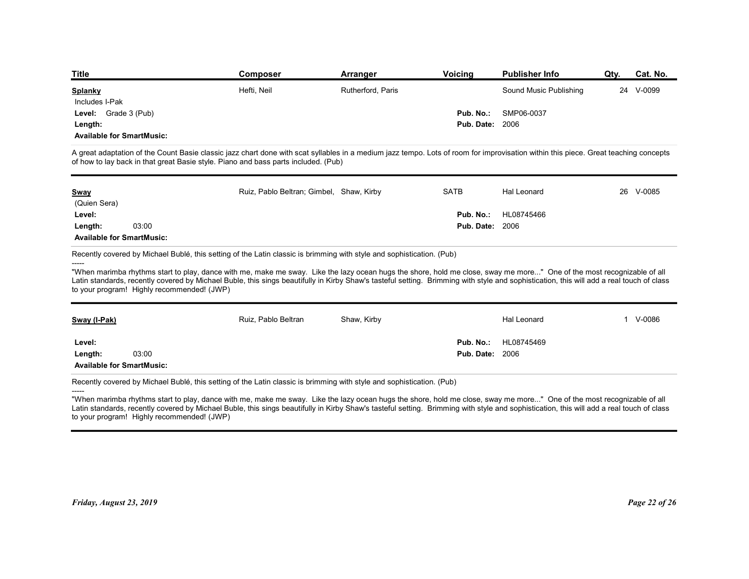| <b>Title</b>                                                                                                                                                                                                                                                                                                                                                                                                                                                                                                                              | Composer                                                                           | Arranger          | <b>Voicing</b>                      | <b>Publisher Info</b>  | Qty. | Cat. No.  |
|-------------------------------------------------------------------------------------------------------------------------------------------------------------------------------------------------------------------------------------------------------------------------------------------------------------------------------------------------------------------------------------------------------------------------------------------------------------------------------------------------------------------------------------------|------------------------------------------------------------------------------------|-------------------|-------------------------------------|------------------------|------|-----------|
| <b>Splanky</b>                                                                                                                                                                                                                                                                                                                                                                                                                                                                                                                            | Hefti, Neil                                                                        | Rutherford, Paris |                                     | Sound Music Publishing |      | 24 V-0099 |
| Includes I-Pak                                                                                                                                                                                                                                                                                                                                                                                                                                                                                                                            |                                                                                    |                   |                                     |                        |      |           |
| Grade 3 (Pub)<br>Level:<br>Length:                                                                                                                                                                                                                                                                                                                                                                                                                                                                                                        |                                                                                    |                   | Pub. No.:<br><b>Pub. Date: 2006</b> | SMP06-0037             |      |           |
| <b>Available for SmartMusic:</b>                                                                                                                                                                                                                                                                                                                                                                                                                                                                                                          |                                                                                    |                   |                                     |                        |      |           |
| A great adaptation of the Count Basie classic jazz chart done with scat syllables in a medium jazz tempo. Lots of room for improvisation within this piece. Great teaching concepts                                                                                                                                                                                                                                                                                                                                                       | of how to lay back in that great Basie style. Piano and bass parts included. (Pub) |                   |                                     |                        |      |           |
|                                                                                                                                                                                                                                                                                                                                                                                                                                                                                                                                           |                                                                                    |                   |                                     |                        |      |           |
| <b>Sway</b>                                                                                                                                                                                                                                                                                                                                                                                                                                                                                                                               | Ruiz, Pablo Beltran; Gimbel, Shaw, Kirby                                           |                   | SATB                                | Hal Leonard            |      | 26 V-0085 |
| (Quien Sera)                                                                                                                                                                                                                                                                                                                                                                                                                                                                                                                              |                                                                                    |                   |                                     |                        |      |           |
| Level:<br>03:00<br>Length:                                                                                                                                                                                                                                                                                                                                                                                                                                                                                                                |                                                                                    |                   | Pub. No.:<br><b>Pub. Date: 2006</b> | HL08745466             |      |           |
| <b>Available for SmartMusic:</b>                                                                                                                                                                                                                                                                                                                                                                                                                                                                                                          |                                                                                    |                   |                                     |                        |      |           |
|                                                                                                                                                                                                                                                                                                                                                                                                                                                                                                                                           |                                                                                    |                   |                                     |                        |      |           |
| Recently covered by Michael Bublé, this setting of the Latin classic is brimming with style and sophistication. (Pub)<br>"When marimba rhythms start to play, dance with me, make me sway. Like the lazy ocean hugs the shore, hold me close, sway me more" One of the most recognizable of all<br>Latin standards, recently covered by Michael Buble, this sings beautifully in Kirby Shaw's tasteful setting. Brimming with style and sophistication, this will add a real touch of class<br>to your program! Highly recommended! (JWP) |                                                                                    |                   |                                     |                        |      |           |
|                                                                                                                                                                                                                                                                                                                                                                                                                                                                                                                                           |                                                                                    |                   |                                     |                        |      |           |
| Sway (I-Pak)                                                                                                                                                                                                                                                                                                                                                                                                                                                                                                                              | Ruiz, Pablo Beltran                                                                | Shaw, Kirby       |                                     | Hal Leonard            |      | 1 V-0086  |
| Level:<br>03:00<br>Length:                                                                                                                                                                                                                                                                                                                                                                                                                                                                                                                |                                                                                    |                   | Pub. No.:<br><b>Pub. Date: 2006</b> | HL08745469             |      |           |

| Sway                             |       | Ruiz, Pablo Beltran; Gimbel, Shaw, Kirby | SATB                   | Hal Leonard | 26 V-0085 |
|----------------------------------|-------|------------------------------------------|------------------------|-------------|-----------|
| (Quien Sera)                     |       |                                          |                        |             |           |
| Level:                           |       |                                          | Pub. No.:              | HL08745466  |           |
| Length:                          | 03:00 |                                          | <b>Pub. Date: 2006</b> |             |           |
| <b>Available for SmartMusic:</b> |       |                                          |                        |             |           |

| Sway (I-Pak)                                                   | Ruiz, Pablo Beltran | Shaw, Kirby |                                     | Hal Leonard | 1 V-0086 |
|----------------------------------------------------------------|---------------------|-------------|-------------------------------------|-------------|----------|
| Level:<br>03:00<br>Length:<br><b>Available for SmartMusic:</b> |                     |             | Pub. No.:<br><b>Pub. Date: 2006</b> | HL08745469  |          |
|                                                                |                     |             |                                     |             |          |
| to your program! Highly recommended! (JWP)                     |                     |             |                                     |             |          |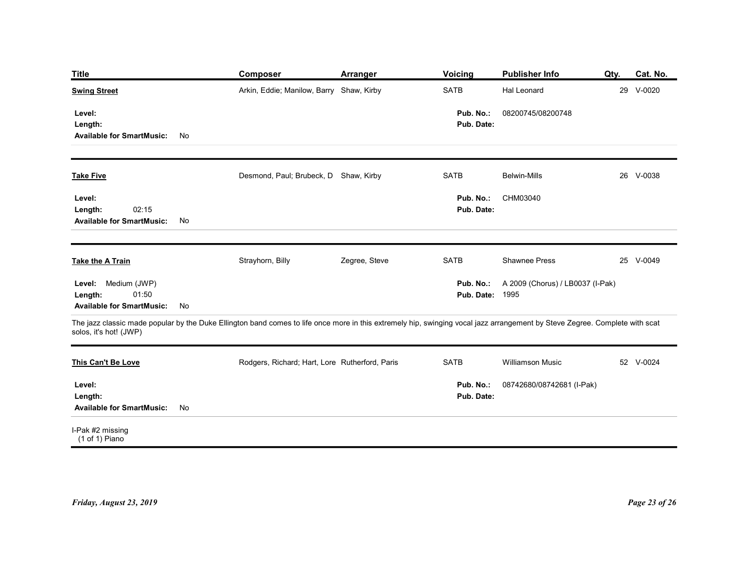| <b>Title</b>                                                            |    | <b>Composer</b>                                                                                                                                                             | <b>Arranger</b> | Voicing                             | <b>Publisher Info</b>            | Qty. | Cat. No.      |
|-------------------------------------------------------------------------|----|-----------------------------------------------------------------------------------------------------------------------------------------------------------------------------|-----------------|-------------------------------------|----------------------------------|------|---------------|
| <b>Swing Street</b>                                                     |    | Arkin, Eddie; Manilow, Barry Shaw, Kirby                                                                                                                                    |                 | SATB                                | Hal Leonard                      |      | 29 V-0020     |
| Level:<br>Length:<br><b>Available for SmartMusic:</b>                   | No |                                                                                                                                                                             |                 | Pub. No.:<br>Pub. Date:             | 08200745/08200748                |      |               |
|                                                                         |    |                                                                                                                                                                             |                 |                                     |                                  |      |               |
| <b>Take Five</b>                                                        |    | Desmond, Paul; Brubeck, D Shaw, Kirby                                                                                                                                       |                 | <b>SATB</b>                         | <b>Belwin-Mills</b>              |      | 26 V-0038     |
| Level:<br>02:15<br>Length:<br><b>Available for SmartMusic:</b>          | No |                                                                                                                                                                             |                 | Pub. No.:<br>Pub. Date:             | CHM03040                         |      |               |
| <b>Take the A Train</b>                                                 |    | Strayhorn, Billy                                                                                                                                                            | Zegree, Steve   | SATB                                | Shawnee Press                    |      | 25 V-0049     |
| Level: Medium (JWP)<br>01:50<br>Length:<br>Available for SmartMusic: No |    |                                                                                                                                                                             |                 | Pub. No.:<br><b>Pub. Date: 1995</b> | A 2009 (Chorus) / LB0037 (I-Pak) |      |               |
| solos, it's hot! (JWP)                                                  |    | The jazz classic made popular by the Duke Ellington band comes to life once more in this extremely hip, swinging vocal jazz arrangement by Steve Zegree. Complete with scat |                 |                                     |                                  |      |               |
| This Can't Be Love                                                      |    | Rodgers, Richard; Hart, Lore Rutherford, Paris                                                                                                                              |                 | SATB                                | <b>Williamson Music</b>          |      | 52 V-0024     |
| Level:<br>Length:<br>Available for SmartMusic: No                       |    |                                                                                                                                                                             |                 | Pub. No.:<br>Pub. Date:             | 08742680/08742681 (I-Pak)        |      |               |
| I-Pak #2 missing<br>(1 of 1) Piano                                      |    |                                                                                                                                                                             |                 |                                     |                                  |      |               |
|                                                                         |    |                                                                                                                                                                             |                 |                                     |                                  |      |               |
| Friday, August 23, 2019                                                 |    |                                                                                                                                                                             |                 |                                     |                                  |      | Page 23 of 26 |
|                                                                         |    |                                                                                                                                                                             |                 |                                     |                                  |      |               |
|                                                                         |    |                                                                                                                                                                             |                 |                                     |                                  |      |               |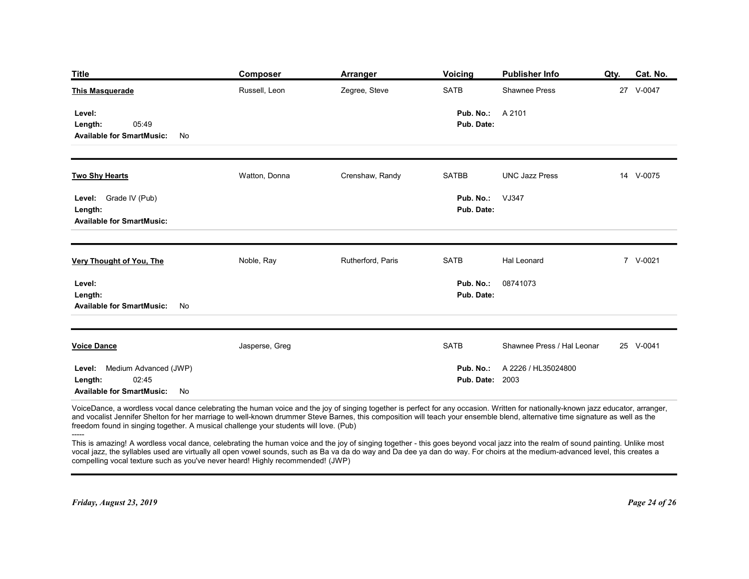| <b>Title</b>                                                                                                                                                                                                                                                                                                                                                                                                                                                | Composer       | Arranger          | Voicing                             | Publisher Info                                                                                                                                                                   | Qty. | Cat. No.  |
|-------------------------------------------------------------------------------------------------------------------------------------------------------------------------------------------------------------------------------------------------------------------------------------------------------------------------------------------------------------------------------------------------------------------------------------------------------------|----------------|-------------------|-------------------------------------|----------------------------------------------------------------------------------------------------------------------------------------------------------------------------------|------|-----------|
| <b>This Masquerade</b>                                                                                                                                                                                                                                                                                                                                                                                                                                      | Russell, Leon  | Zegree, Steve     | SATB                                | <b>Shawnee Press</b>                                                                                                                                                             |      | 27 V-0047 |
| Level:<br>05:49<br>Length:<br><b>Available for SmartMusic:</b><br>No                                                                                                                                                                                                                                                                                                                                                                                        |                |                   | Pub. No.:<br>Pub. Date:             | A 2101                                                                                                                                                                           |      |           |
|                                                                                                                                                                                                                                                                                                                                                                                                                                                             |                |                   |                                     |                                                                                                                                                                                  |      |           |
| <b>Two Shy Hearts</b>                                                                                                                                                                                                                                                                                                                                                                                                                                       | Watton, Donna  | Crenshaw, Randy   | SATBB                               | <b>UNC Jazz Press</b>                                                                                                                                                            |      | 14 V-0075 |
| Level: Grade IV (Pub)<br>Length:<br><b>Available for SmartMusic:</b>                                                                                                                                                                                                                                                                                                                                                                                        |                |                   | Pub. No.:<br>Pub. Date:             | VJ347                                                                                                                                                                            |      |           |
| <b>Very Thought of You, The</b>                                                                                                                                                                                                                                                                                                                                                                                                                             | Noble, Ray     | Rutherford, Paris | SATB                                | Hal Leonard                                                                                                                                                                      |      | 7 V-0021  |
| Level:<br>Length:<br>Available for SmartMusic: No                                                                                                                                                                                                                                                                                                                                                                                                           |                |                   | Pub. No.:<br>Pub. Date:             | 08741073                                                                                                                                                                         |      |           |
|                                                                                                                                                                                                                                                                                                                                                                                                                                                             |                |                   |                                     |                                                                                                                                                                                  |      |           |
| <b>Voice Dance</b>                                                                                                                                                                                                                                                                                                                                                                                                                                          | Jasperse, Greg |                   | <b>SATB</b>                         | Shawnee Press / Hal Leonar                                                                                                                                                       |      | 25 V-0041 |
| Level: Medium Advanced (JWP)<br>02:45<br>Length:<br><b>Available for SmartMusic:</b><br>No                                                                                                                                                                                                                                                                                                                                                                  |                |                   | Pub. No.:<br><b>Pub. Date: 2003</b> | A 2226 / HL35024800                                                                                                                                                              |      |           |
| VoiceDance, a wordless vocal dance celebrating the human voice and the joy of singing together is perfect for any occasion. Written for nationally-known jazz educator, arranger,<br>and vocalist Jennifer Shelton for her marriage to well-known drummer Steve Barnes, this composition will teach your ensemble blend, alternative time signature as well as the<br>freedom found in singing together. A musical challenge your students will love. (Pub) |                |                   |                                     |                                                                                                                                                                                  |      |           |
|                                                                                                                                                                                                                                                                                                                                                                                                                                                             |                |                   |                                     | This is amazing! A wordless vocal dance, celebrating the human voice and the joy of singing together - this goes beyond vocal jazz into the realm of sound painting. Unlike most |      |           |
| vocal jazz, the syllables used are virtually all open vowel sounds, such as Ba va da do way and Da dee ya dan do way. For choirs at the medium-advanced level, this creates a<br>compelling vocal texture such as you've never heard! Highly recommended! (JWP)                                                                                                                                                                                             |                |                   |                                     |                                                                                                                                                                                  |      |           |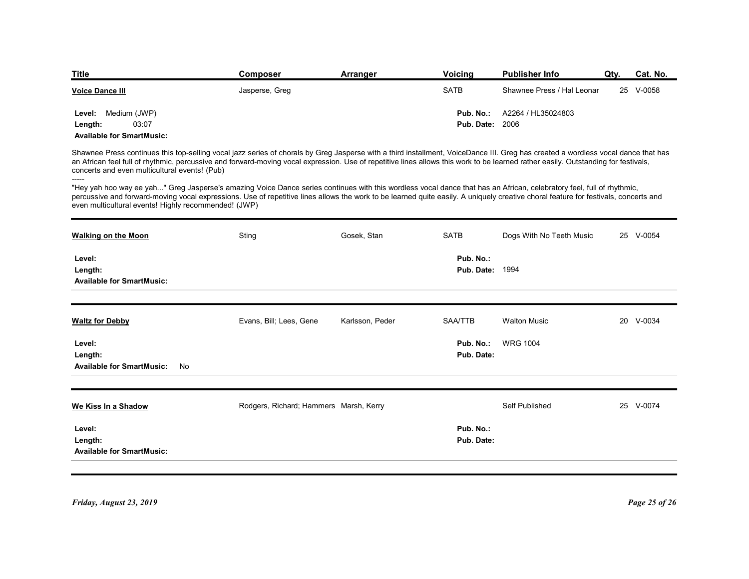| Title                  | <b>Composer</b> | <b>Arranger</b> | Voicing | Publisher Info             | Qty. Cat. No. |
|------------------------|-----------------|-----------------|---------|----------------------------|---------------|
| <b>Voice Dance III</b> | Jasperse, Greg  |                 | SATB    | Shawnee Press / Hal Leonar | 25 V-0058     |

|                                                                                                                                                                                                                                                                                                                                                                                                                          | <b>Composer</b>                        | Arranger        | Voicing                | <b>Publisher Info</b>      | Qty. | Cat. No.  |
|--------------------------------------------------------------------------------------------------------------------------------------------------------------------------------------------------------------------------------------------------------------------------------------------------------------------------------------------------------------------------------------------------------------------------|----------------------------------------|-----------------|------------------------|----------------------------|------|-----------|
| <b>Title</b><br><b>Voice Dance III</b>                                                                                                                                                                                                                                                                                                                                                                                   | Jasperse, Greg                         |                 | SATB                   | Shawnee Press / Hal Leonar |      | 25 V-0058 |
|                                                                                                                                                                                                                                                                                                                                                                                                                          |                                        |                 |                        |                            |      |           |
| Medium (JWP)<br>Level:                                                                                                                                                                                                                                                                                                                                                                                                   |                                        |                 | Pub. No.:              | A2264 / HL35024803         |      |           |
| 03:07<br>Length:<br><b>Available for SmartMusic:</b>                                                                                                                                                                                                                                                                                                                                                                     |                                        |                 | <b>Pub. Date: 2006</b> |                            |      |           |
| Shawnee Press continues this top-selling vocal jazz series of chorals by Greg Jasperse with a third installment, VoiceDance III. Greg has created a wordless vocal dance that has<br>an African feel full of rhythmic, percussive and forward-moving vocal expression. Use of repetitive lines allows this work to be learned rather easily. Outstanding for festivals,<br>concerts and even multicultural events! (Pub) |                                        |                 |                        |                            |      |           |
| "Hey yah hoo way ee yah" Greg Jasperse's amazing Voice Dance series continues with this wordless vocal dance that has an African, celebratory feel, full of rhythmic,<br>percussive and forward-moving vocal expressions. Use of repetitive lines allows the work to be learned quite easily. A uniquely creative choral feature for festivals, concerts and<br>even multicultural events! Highly recommended! (JWP)     |                                        |                 |                        |                            |      |           |
| <b>Walking on the Moon</b>                                                                                                                                                                                                                                                                                                                                                                                               | Sting                                  | Gosek, Stan     | SATB                   | Dogs With No Teeth Music   |      | 25 V-0054 |
| Level:                                                                                                                                                                                                                                                                                                                                                                                                                   |                                        |                 | Pub. No.:              |                            |      |           |
| Length:                                                                                                                                                                                                                                                                                                                                                                                                                  |                                        |                 | <b>Pub. Date: 1994</b> |                            |      |           |
| <b>Available for SmartMusic:</b>                                                                                                                                                                                                                                                                                                                                                                                         |                                        |                 |                        |                            |      |           |
| <b>Waltz for Debby</b>                                                                                                                                                                                                                                                                                                                                                                                                   | Evans, Bill; Lees, Gene                | Karlsson, Peder | SAA/TTB                | <b>Walton Music</b>        |      | 20 V-0034 |
| Level:                                                                                                                                                                                                                                                                                                                                                                                                                   |                                        |                 | Pub. No.:              | <b>WRG 1004</b>            |      |           |
| Length:<br><b>Available for SmartMusic:</b><br>No                                                                                                                                                                                                                                                                                                                                                                        |                                        |                 | Pub. Date:             |                            |      |           |
| We Kiss In a Shadow                                                                                                                                                                                                                                                                                                                                                                                                      | Rodgers, Richard; Hammers Marsh, Kerry |                 |                        | Self Published             |      | 25 V-0074 |
| Level:                                                                                                                                                                                                                                                                                                                                                                                                                   |                                        |                 | Pub. No.:              |                            |      |           |
| Length:                                                                                                                                                                                                                                                                                                                                                                                                                  |                                        |                 | Pub. Date:             |                            |      |           |
| <b>Available for SmartMusic:</b>                                                                                                                                                                                                                                                                                                                                                                                         |                                        |                 |                        |                            |      |           |
|                                                                                                                                                                                                                                                                                                                                                                                                                          |                                        |                 |                        |                            |      |           |
|                                                                                                                                                                                                                                                                                                                                                                                                                          |                                        |                 |                        |                            |      |           |